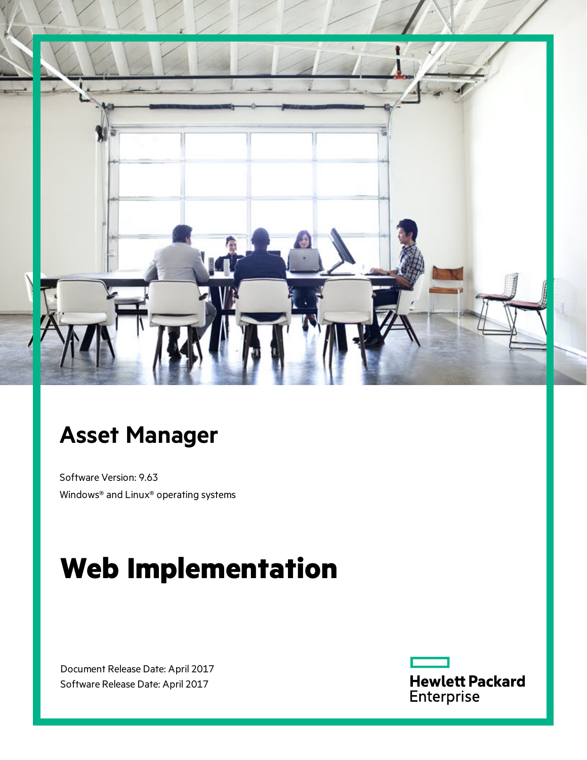

## **Asset Manager**

Software Version: 9.63 Windows® and Linux® operating systems

# **Web Implementation**

Document Release Date: April 2017 Software Release Date: April 2017

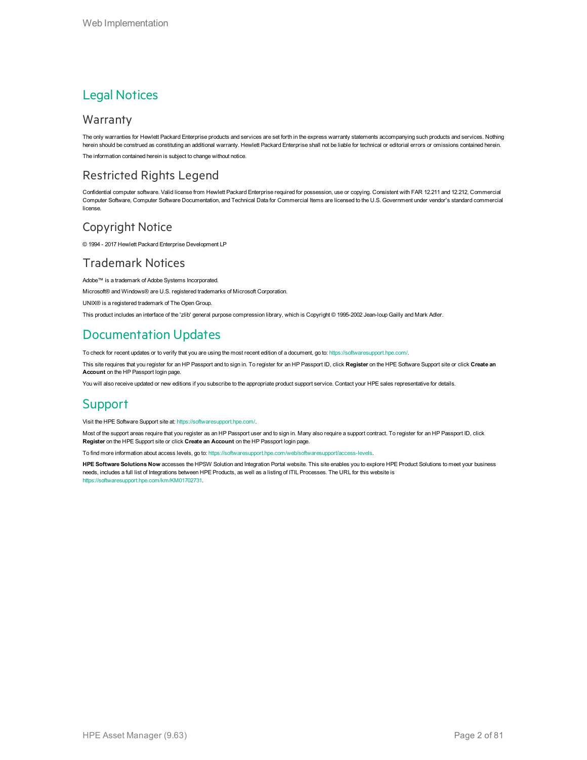### Legal Notices

#### Warranty

The only warranties for Hewlett Packard Enterprise products and services are set forth in the express warranty statements accompanying such products and services. Nothing herein should be construed as constituting an additional warranty. Hewlett Packard Enterprise shall not be liable for technical or editorial errors or omissions contained herein. The information contained herein is subject to change without notice.

### Restricted Rights Legend

Confidential computer software. Valid license from Hewlett Packard Enterprise required for possession, use or copying. Consistent with FAR 12.211 and 12.212, Commercial Computer Software, Computer Software Documentation, and Technical Data for Commercial Items are licensed to the U.S. Government under vendor's standard commercial license.

### Copyright Notice

© 1994 - 2017 Hewlett Packard Enterprise Development LP

### Trademark Notices

Adobe™ is a trademark of Adobe Systems Incorporated.

Microsoft® and Windows® are U.S. registered trademarks of Microsoft Corporation.

UNIX® is a registered trademark of The Open Group.

This product includes an interface of the 'zlib' general purpose compression library, which is Copyright © 1995-2002 Jean-loup Gailly and Mark Adler.

### Documentation Updates

To check for recent updates or to verify that you are using the most recent edition of a document, go to: <https://softwaresupport.hpe.com/>.

This site requires that you register for an HP Passport and to sign in. To register for an HP Passport ID, click **Register** on the HPE Software Support site or click **Create an Account** on the HP Passport login page.

You will also receive updated or new editions if you subscribe to the appropriate product support service. Contact your HPE sales representative for details.

### Support

Visit the HPE Software Support site at: <https://softwaresupport.hpe.com/>.

Most of the support areas require that you register as an HP Passport user and to sign in. Many also require a support contract. To register for an HP Passport ID, click **Register** on the HPE Support site or click **Create an Account** on the HP Passport login page.

To find more information about access levels, go to: <https://softwaresupport.hpe.com/web/softwaresupport/access-levels>.

**HPE Software Solutions Now** accesses the HPSW Solution and Integration Portal website. This site enables you to explore HPE Product Solutions to meet your business needs, includes a full list of Integrations between HPE Products, as well as a listing of ITIL Processes. The URL for this website is [https://softwaresupport.hpe.com/km/KM01702731.](https://softwaresupport.hpe.com/km/KM01702731)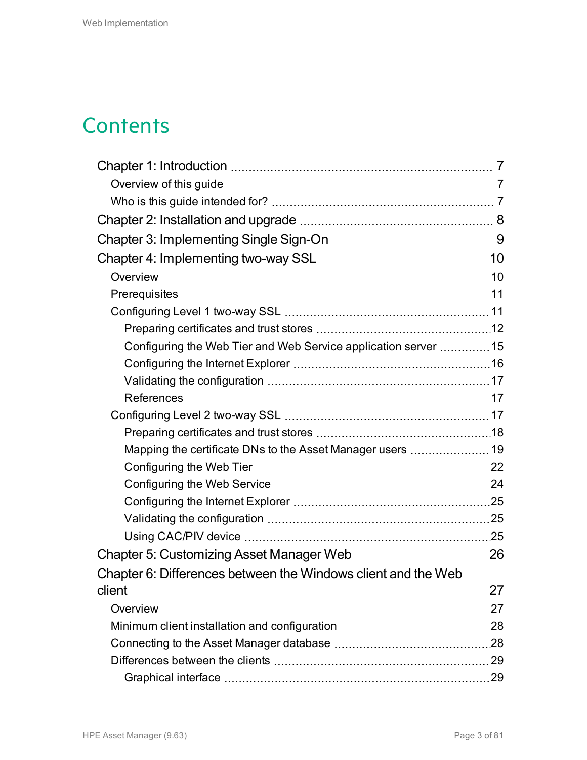## **Contents**

| Configuring the Web Tier and Web Service application server  15 |  |
|-----------------------------------------------------------------|--|
|                                                                 |  |
|                                                                 |  |
|                                                                 |  |
|                                                                 |  |
|                                                                 |  |
| Mapping the certificate DNs to the Asset Manager users  19      |  |
|                                                                 |  |
|                                                                 |  |
|                                                                 |  |
|                                                                 |  |
|                                                                 |  |
|                                                                 |  |
| Chapter 6: Differences between the Windows client and the Web   |  |
|                                                                 |  |
|                                                                 |  |
|                                                                 |  |
|                                                                 |  |
|                                                                 |  |
|                                                                 |  |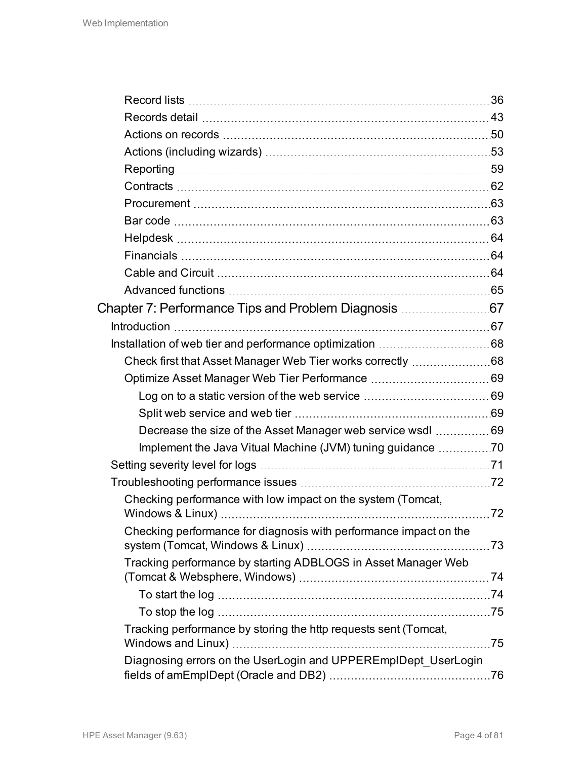|                                                                   | 36 |
|-------------------------------------------------------------------|----|
|                                                                   |    |
|                                                                   |    |
|                                                                   |    |
|                                                                   |    |
|                                                                   |    |
|                                                                   |    |
|                                                                   |    |
|                                                                   |    |
|                                                                   |    |
|                                                                   |    |
|                                                                   |    |
| Chapter 7: Performance Tips and Problem Diagnosis 67              |    |
|                                                                   |    |
|                                                                   |    |
| Check first that Asset Manager Web Tier works correctly 68        |    |
|                                                                   |    |
|                                                                   |    |
|                                                                   |    |
|                                                                   |    |
|                                                                   |    |
|                                                                   |    |
|                                                                   |    |
| Checking performance with low impact on the system (Tomcat,       |    |
|                                                                   |    |
| Checking performance for diagnosis with performance impact on the |    |
|                                                                   |    |
| Tracking performance by starting ADBLOGS in Asset Manager Web     |    |
|                                                                   |    |
|                                                                   |    |
| Tracking performance by storing the http requests sent (Tomcat,   |    |
| Diagnosing errors on the UserLogin and UPPEREmplDept_UserLogin    |    |
|                                                                   |    |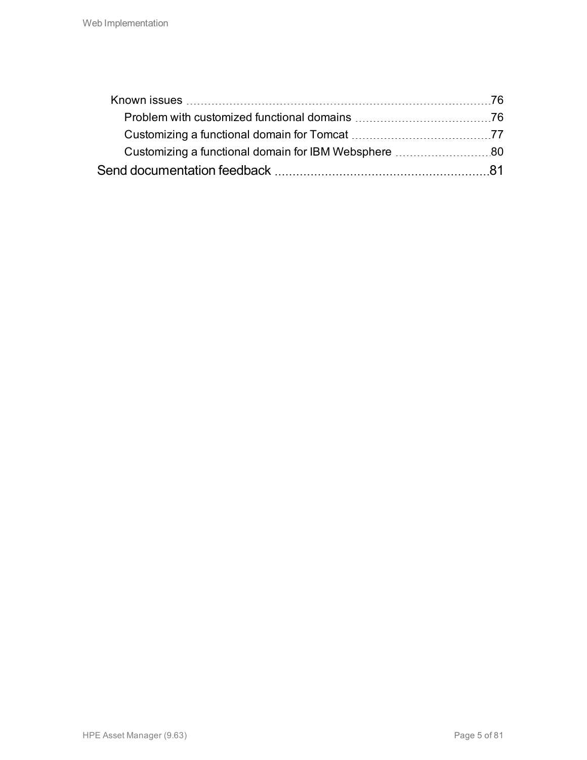| Customizing a functional domain for IBM Websphere 80 |  |
|------------------------------------------------------|--|
|                                                      |  |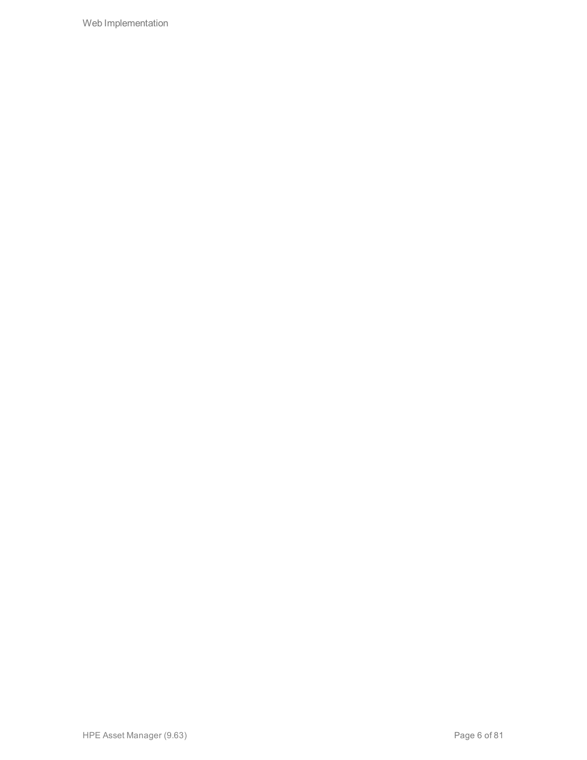Web Implementation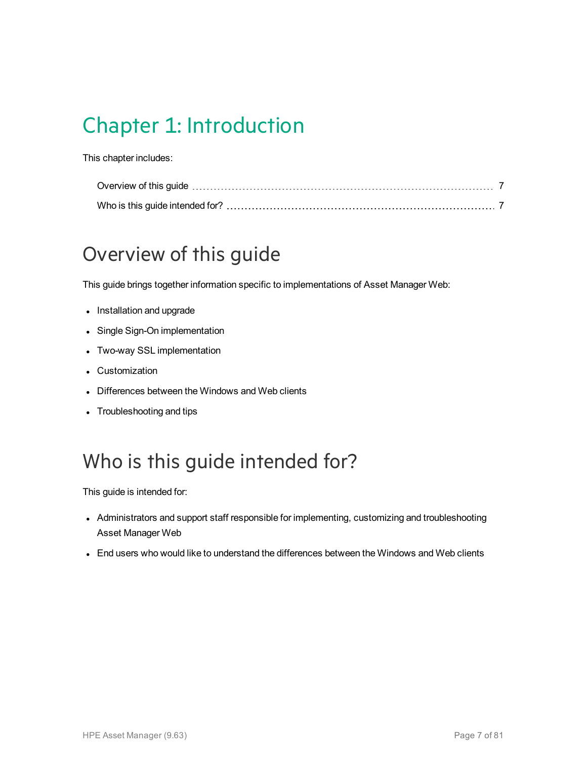## <span id="page-6-0"></span>Chapter 1: Introduction

This chapter includes:

### <span id="page-6-1"></span>Overview of this guide

This guide brings together information specific to implementations of Asset Manager Web:

- Installation and upgrade
- Single Sign-On implementation
- Two-way SSL implementation
- Customization
- Differences between the Windows and Web clients
- Troubleshooting and tips

### <span id="page-6-2"></span>Who is this guide intended for?

This guide is intended for:

- Administrators and support staff responsible for implementing, customizing and troubleshooting Asset Manager Web
- End users who would like to understand the differences between the Windows and Web clients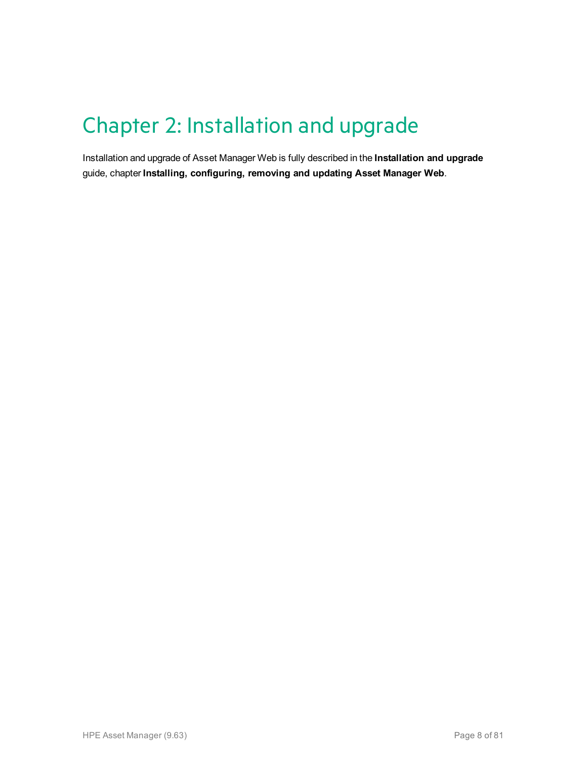## <span id="page-7-0"></span>Chapter 2: Installation and upgrade

Installation and upgrade of Asset Manager Web is fully described in the **Installation and upgrade** guide, chapter **Installing, configuring, removing and updating Asset Manager Web**.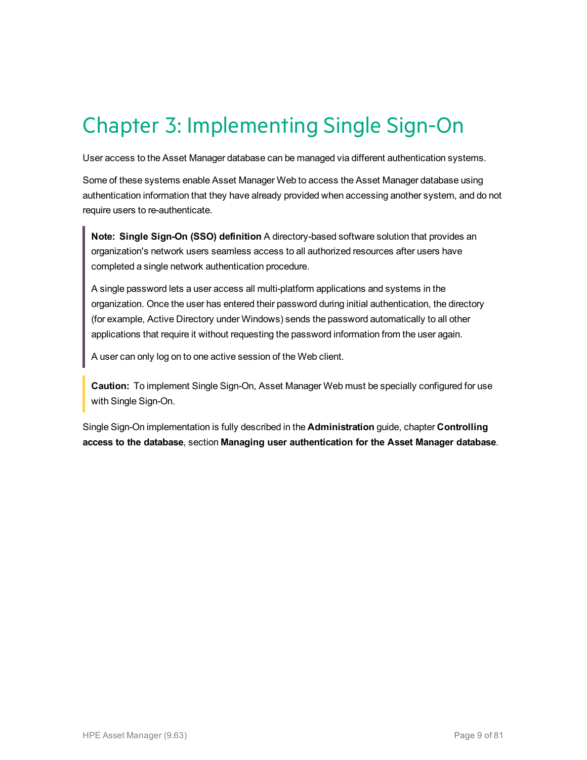## <span id="page-8-0"></span>Chapter 3: Implementing Single Sign-On

User access to the Asset Manager database can be managed via different authentication systems.

Some of these systems enable Asset Manager Web to access the Asset Manager database using authentication information that they have already provided when accessing another system, and do not require users to re-authenticate.

**Note: Single Sign-On (SSO) definition** A directory-based software solution that provides an organization's network users seamless access to all authorized resources after users have completed a single network authentication procedure.

A single password lets a user access all multi-platform applications and systems in the organization. Once the user has entered their password during initial authentication, the directory (for example, Active Directory under Windows) sends the password automatically to all other applications that require it without requesting the password information from the user again.

A user can only log on to one active session of the Web client.

**Caution:** To implement Single Sign-On, Asset Manager Web must be specially configured for use with Single Sign-On.

Single Sign-On implementation is fully described in the **Administration** guide, chapter **Controlling access to the database**, section **Managing user authentication for the Asset Manager database**.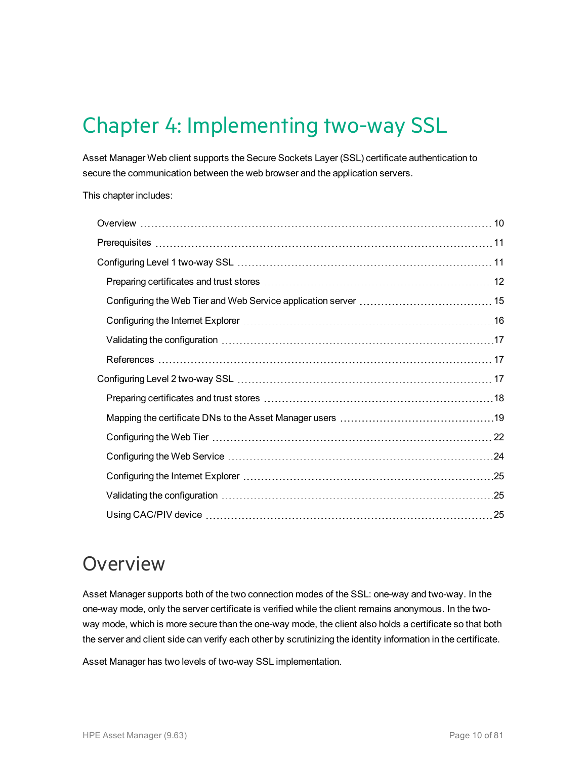## <span id="page-9-0"></span>Chapter 4: Implementing two-way SSL

Asset Manager Web client supports the Secure Sockets Layer (SSL) certificate authentication to secure the communication between the web browser and the application servers.

This chapter includes:

### <span id="page-9-1"></span>**Overview**

Asset Manager supports both of the two connection modes of the SSL: one-way and two-way. In the one-way mode, only the server certificate is verified while the client remains anonymous. In the twoway mode, which is more secure than the one-way mode, the client also holds a certificate so that both the server and client side can verify each other by scrutinizing the identity information in the certificate.

Asset Manager has two levels of two-way SSL implementation.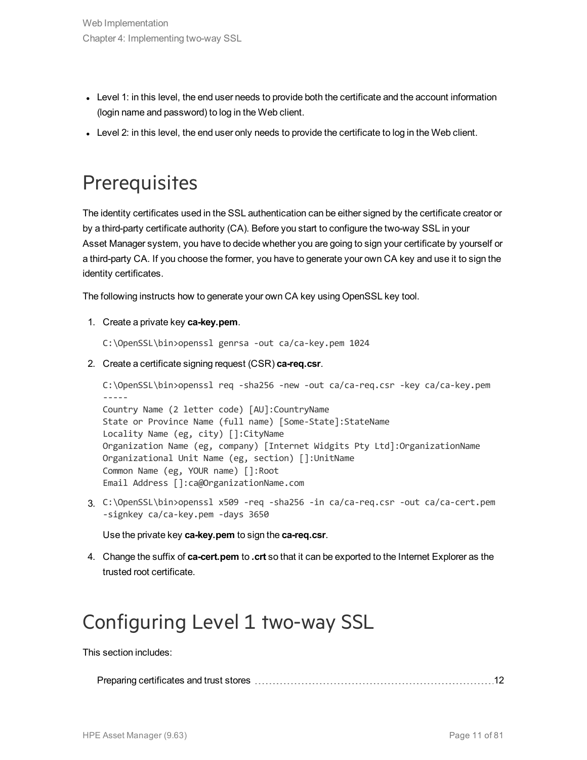- Level 1: in this level, the end user needs to provide both the certificate and the account information (login name and password) to log in the Web client.
- Level 2: in this level, the end user only needs to provide the certificate to log in the Web client.

### <span id="page-10-0"></span>**Prerequisites**

The identity certificates used in the SSL authentication can be either signed by the certificate creator or by a third-party certificate authority (CA). Before you start to configure the two-way SSL in your Asset Manager system, you have to decide whether you are going to sign your certificate by yourself or a third-party CA. If you choose the former, you have to generate your own CA key and use it to sign the identity certificates.

The following instructs how to generate your own CA key using OpenSSL key tool.

1. Create a private key **ca-key.pem**.

C:\OpenSSL\bin>openssl genrsa -out ca/ca-key.pem 1024

2. Create a certificate signing request (CSR) **ca-req.csr**.

C:\OpenSSL\bin>openssl req -sha256 -new -out ca/ca-req.csr -key ca/ca-key.pem ----- Country Name (2 letter code) [AU]:CountryName State or Province Name (full name) [Some-State]:StateName Locality Name (eg, city) []:CityName Organization Name (eg, company) [Internet Widgits Pty Ltd]:OrganizationName Organizational Unit Name (eg, section) []:UnitName Common Name (eg, YOUR name) []:Root Email Address []:ca@OrganizationName.com

3. C:\OpenSSL\bin>openssl x509 -req -sha256 -in ca/ca-req.csr -out ca/ca-cert.pem -signkey ca/ca-key.pem -days 3650

Use the private key **ca-key.pem** to sign the **ca-req.csr**.

4. Change the suffix of **ca-cert.pem** to **.crt** so that it can be exported to the Internet Explorer as the trusted root certificate.

### <span id="page-10-1"></span>Configuring Level 1 two-way SSL

This section includes:

Preparing [certificates](#page-11-0) and trust stores [12](#page-11-0)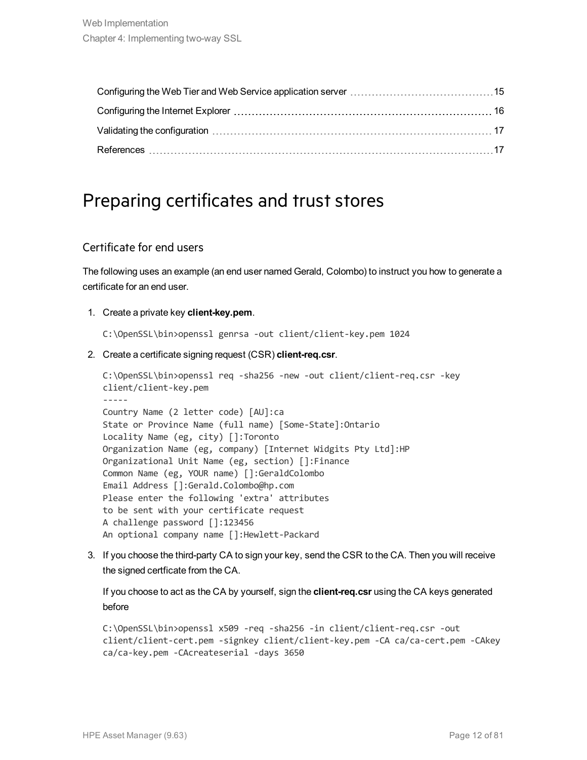### <span id="page-11-0"></span>Preparing certificates and trust stores

### <span id="page-11-1"></span>Certificate for end users

The following uses an example (an end user named Gerald, Colombo) to instruct you how to generate a certificate for an end user.

1. Create a private key **client-key.pem**.

C:\OpenSSL\bin>openssl genrsa -out client/client-key.pem 1024

2. Create a certificate signing request (CSR) **client-req.csr**.

```
C:\OpenSSL\bin>openssl req -sha256 -new -out client/client-req.csr -key
client/client-key.pem
-----
Country Name (2 letter code) [AU]:ca
State or Province Name (full name) [Some-State]:Ontario
Locality Name (eg, city) []:Toronto
Organization Name (eg, company) [Internet Widgits Pty Ltd]:HP
Organizational Unit Name (eg, section) []:Finance
Common Name (eg, YOUR name) []:GeraldColombo
Email Address []:Gerald.Colombo@hp.com
Please enter the following 'extra' attributes
to be sent with your certificate request
A challenge password []:123456
An optional company name []:Hewlett-Packard
```
3. If you choose the third-party CA to sign your key, send the CSR to the CA. Then you will receive the signed certficate from the CA.

If you choose to act as the CA by yourself, sign the **client-req.csr** using the CA keys generated before

```
C:\OpenSSL\bin>openssl x509 -req -sha256 -in client/client-req.csr -out
client/client-cert.pem -signkey client/client-key.pem -CA ca/ca-cert.pem -CAkey
ca/ca-key.pem -CAcreateserial -days 3650
```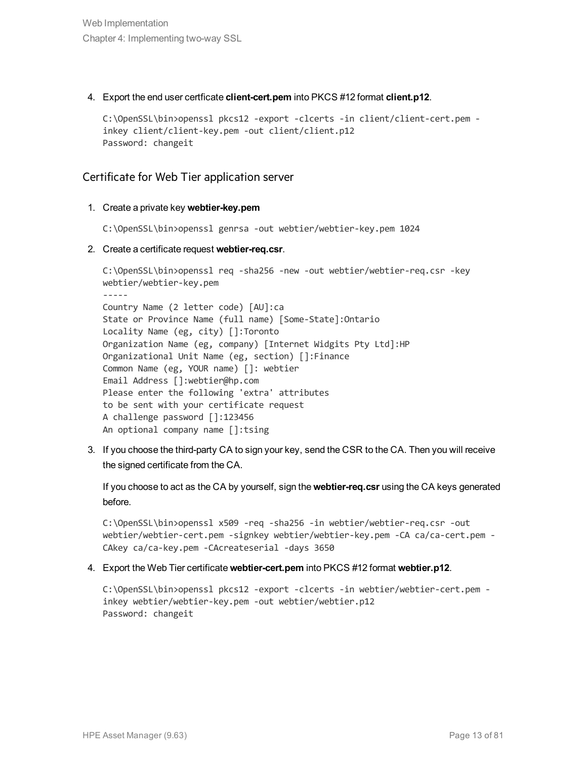Web Implementation Chapter 4: Implementing two-way SSL

4. Export the end user certficate **client-cert.pem** into PKCS #12 format **client.p12**.

```
C:\OpenSSL\bin>openssl pkcs12 -export -clcerts -in client/client-cert.pem -
inkey client/client-key.pem -out client/client.p12
Password: changeit
```
#### <span id="page-12-0"></span>Certificate for Web Tier application server

#### 1. Create a private key **webtier-key.pem**

C:\OpenSSL\bin>openssl genrsa -out webtier/webtier-key.pem 1024

#### 2. Create a certificate request **webtier-req.csr**.

C:\OpenSSL\bin>openssl req -sha256 -new -out webtier/webtier-req.csr -key webtier/webtier-key.pem ----- Country Name (2 letter code) [AU]:ca State or Province Name (full name) [Some-State]:Ontario Locality Name (eg, city) []:Toronto Organization Name (eg, company) [Internet Widgits Pty Ltd]:HP Organizational Unit Name (eg, section) []:Finance Common Name (eg, YOUR name) []: webtier Email Address []:webtier@hp.com Please enter the following 'extra' attributes to be sent with your certificate request A challenge password []:123456 An optional company name []:tsing

3. If you choose the third-party CA to sign your key, send the CSR to the CA. Then you will receive the signed certificate from the CA.

If you choose to act as the CA by yourself, sign the **webtier-req.csr** using the CA keys generated before.

C:\OpenSSL\bin>openssl x509 -req -sha256 -in webtier/webtier-req.csr -out webtier/webtier-cert.pem -signkey webtier/webtier-key.pem -CA ca/ca-cert.pem - CAkey ca/ca-key.pem -CAcreateserial -days 3650

4. Export the Web Tier certificate **webtier-cert.pem** into PKCS #12 format **webtier.p12**.

C:\OpenSSL\bin>openssl pkcs12 -export -clcerts -in webtier/webtier-cert.pem inkey webtier/webtier-key.pem -out webtier/webtier.p12 Password: changeit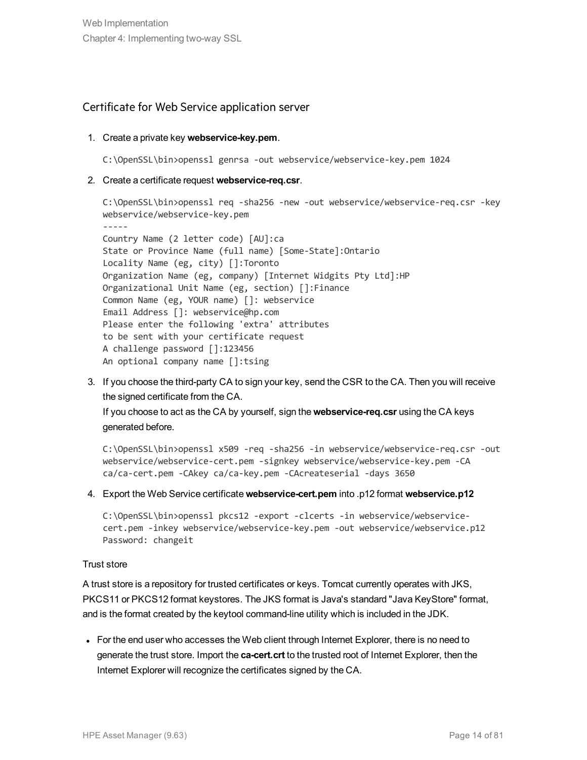#### <span id="page-13-0"></span>Certificate for Web Service application server

#### 1. Create a private key **webservice-key.pem**.

C:\OpenSSL\bin>openssl genrsa -out webservice/webservice-key.pem 1024

#### 2. Create a certificate request **webservice-req.csr**.

C:\OpenSSL\bin>openssl req -sha256 -new -out webservice/webservice-req.csr -key webservice/webservice-key.pem ----- Country Name (2 letter code) [AU]:ca State or Province Name (full name) [Some-State]:Ontario Locality Name (eg, city) []:Toronto Organization Name (eg, company) [Internet Widgits Pty Ltd]:HP Organizational Unit Name (eg, section) []:Finance Common Name (eg, YOUR name) []: webservice Email Address []: webservice@hp.com Please enter the following 'extra' attributes to be sent with your certificate request A challenge password []:123456 An optional company name []:tsing

3. If you choose the third-party CA to sign your key, send the CSR to the CA. Then you will receive the signed certificate from the CA.

If you choose to act as the CA by yourself, sign the **webservice-req.csr** using the CA keys generated before.

C:\OpenSSL\bin>openssl x509 -req -sha256 -in webservice/webservice-req.csr -out webservice/webservice-cert.pem -signkey webservice/webservice-key.pem -CA ca/ca-cert.pem -CAkey ca/ca-key.pem -CAcreateserial -days 3650

4. Export the Web Service certificate **webservice-cert.pem** into .p12 format **webservice.p12**

C:\OpenSSL\bin>openssl pkcs12 -export -clcerts -in webservice/webservicecert.pem -inkey webservice/webservice-key.pem -out webservice/webservice.p12 Password: changeit

#### <span id="page-13-1"></span>Trust store

A trust store is a repository for trusted certificates or keys. Tomcat currently operates with JKS, PKCS11 or PKCS12 format keystores. The JKS format is Java's standard "Java KeyStore" format, and is the format created by the keytool command-line utility which is included in the JDK.

• For the end user who accesses the Web client through Internet Explorer, there is no need to generate the trust store. Import the **ca-cert.crt** to the trusted root of Internet Explorer, then the Internet Explorer will recognize the certificates signed by the CA.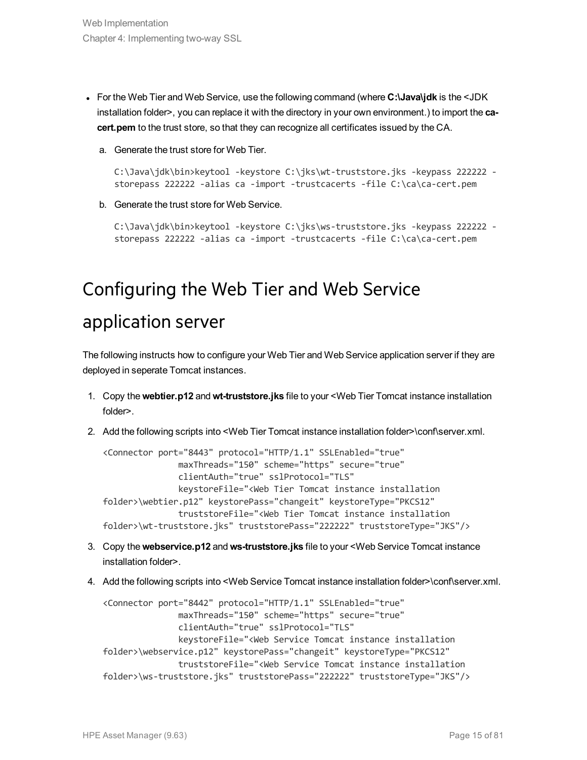- <sup>l</sup> For the Web Tier and Web Service, use the following command (where **C:\Java\jdk** is the <JDK installation folder>, you can replace it with the directory in your own environment.) to import the **cacert.pem** to the trust store, so that they can recognize all certificates issued by the CA.
	- a. Generate the trust store for Web Tier.

```
C:\Java\jdk\bin>keytool -keystore C:\jks\wt-truststore.jks -keypass 222222 -
storepass 222222 -alias ca -import -trustcacerts -file C:\ca\ca-cert.pem
```
b. Generate the trust store for Web Service.

```
C:\Java\jdk\bin>keytool -keystore C:\jks\ws-truststore.jks -keypass 222222 -
storepass 222222 -alias ca -import -trustcacerts -file C:\ca\ca-cert.pem
```
## <span id="page-14-0"></span>Configuring the Web Tier and Web Service application server

The following instructs how to configure your Web Tier and Web Service application server if they are deployed in seperate Tomcat instances.

- 1. Copy the **webtier.p12** and **wt-truststore.jks** file to your <Web Tier Tomcat instance installation folder>.
- 2. Add the following scripts into <Web Tier Tomcat instance installation folder>\conf\server.xml.

```
<Connector port="8443" protocol="HTTP/1.1" SSLEnabled="true"
               maxThreads="150" scheme="https" secure="true"
               clientAuth="true" sslProtocol="TLS"
               keystoreFile="<Web Tier Tomcat instance installation
folder>\webtier.p12" keystorePass="changeit" keystoreType="PKCS12"
               truststoreFile="<Web Tier Tomcat instance installation
folder>\wt-truststore.jks" truststorePass="222222" truststoreType="JKS"/>
```
- 3. Copy the **webservice.p12** and **ws-truststore.jks** file to your <Web Service Tomcat instance installation folder>.
- 4. Add the following scripts into <Web Service Tomcat instance installation folder>\conf\server.xml.

```
<Connector port="8442" protocol="HTTP/1.1" SSLEnabled="true"
               maxThreads="150" scheme="https" secure="true"
               clientAuth="true" sslProtocol="TLS"
               keystoreFile="<Web Service Tomcat instance installation
folder>\webservice.p12" keystorePass="changeit" keystoreType="PKCS12"
               truststoreFile="<Web Service Tomcat instance installation
folder>\ws-truststore.jks" truststorePass="222222" truststoreType="JKS"/>
```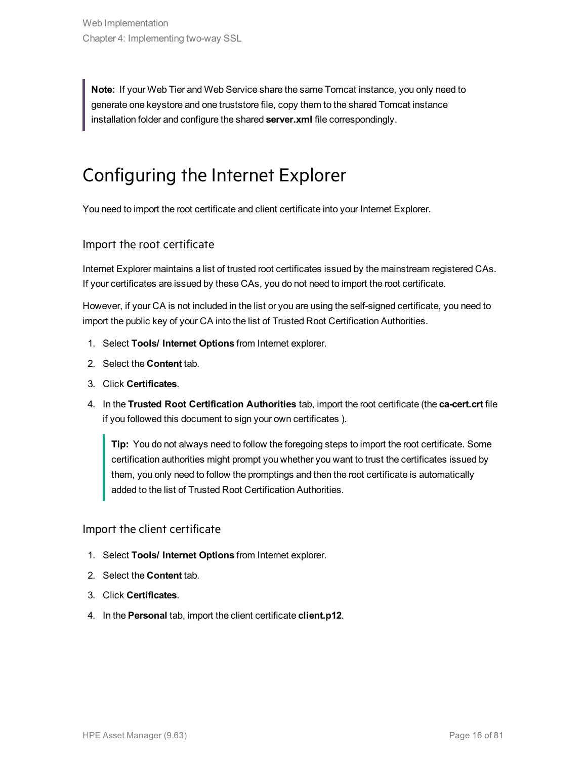**Note:** If your Web Tier and Web Service share the same Tomcat instance, you only need to generate one keystore and one truststore file, copy them to the shared Tomcat instance installation folder and configure the shared **server.xml** file correspondingly.

### <span id="page-15-0"></span>Configuring the Internet Explorer

You need to import the root certificate and client certificate into your Internet Explorer.

#### Import the root certificate

Internet Explorer maintains a list of trusted root certificates issued by the mainstream registered CAs. If your certificates are issued by these CAs, you do not need to import the root certificate.

However, if your CA is not included in the list or you are using the self-signed certificate, you need to import the public key of your CA into the list of Trusted Root Certification Authorities.

- 1. Select **Tools/ Internet Options** from Internet explorer.
- 2. Select the **Content** tab.
- 3. Click **Certificates**.
- 4. In the **Trusted Root Certification Authorities** tab, import the root certificate (the **ca-cert.crt** file if you followed this document to sign your own certificates ).

**Tip:** You do not always need to follow the foregoing steps to import the root certificate. Some certification authorities might prompt you whether you want to trust the certificates issued by them, you only need to follow the promptings and then the root certificate is automatically added to the list of Trusted Root Certification Authorities.

#### Import the client certificate

- 1. Select **Tools/ Internet Options** from Internet explorer.
- 2. Select the **Content** tab.
- 3. Click **Certificates**.
- 4. In the **Personal** tab, import the client certificate **client.p12**.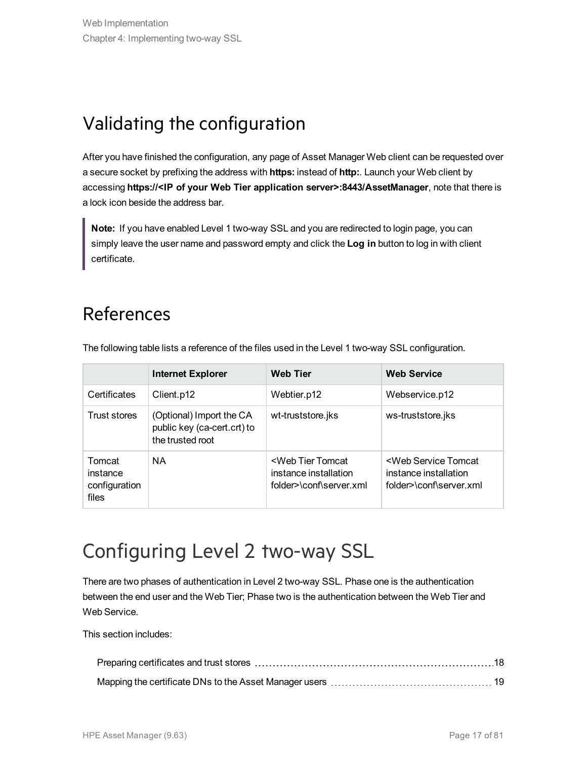### <span id="page-16-0"></span>Validating the configuration

After you have finished the configuration, any page of Asset Manager Web client can be requested over a secure socket by prefixing the address with **https:** instead of **http:**. Launch your Web client by accessing **https://<IP of your Web Tier application server>:8443/AssetManager**, note that there is a lock icon beside the address bar.

**Note:** If you have enabled Level 1 two-way SSL and you are redirected to login page, you can simply leave the user name and password empty and click the **Log in** button to log in with client certificate.

### <span id="page-16-1"></span>References

|                                              | <b>Internet Explorer</b>                                                    | <b>Web Tier</b>                                                                      | <b>Web Service</b>                                                                      |
|----------------------------------------------|-----------------------------------------------------------------------------|--------------------------------------------------------------------------------------|-----------------------------------------------------------------------------------------|
| Certificates                                 | Client.p12                                                                  | Webtier.p12                                                                          | Webservice.p12                                                                          |
| Trust stores                                 | (Optional) Import the CA<br>public key (ca-cert.crt) to<br>the trusted root | wt-truststore.jks                                                                    | ws-truststore.jks                                                                       |
| Tomcat<br>instance<br>configuration<br>files | <b>NA</b>                                                                   | <web tier="" tomcat<br="">instance installation<br/>folder&gt;\conf\server.xml</web> | <web service="" tomcat<br="">instance installation<br/>folder&gt;\conf\server.xml</web> |

The following table lists a reference of the files used in the Level 1 two-way SSL configuration.

## <span id="page-16-2"></span>Configuring Level 2 two-way SSL

There are two phases of authentication in Level 2 two-way SSL. Phase one is the authentication between the end user and the Web Tier; Phase two is the authentication between the Web Tier and Web Service.

This section includes: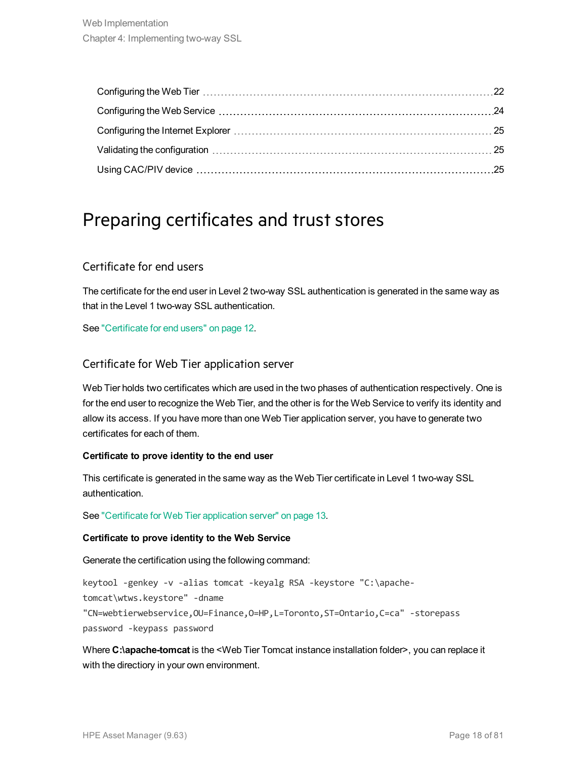### <span id="page-17-0"></span>Preparing certificates and trust stores

### Certificate for end users

The certificate for the end user in Level 2 two-way SSL authentication is generated in the same way as that in the Level 1 two-way SSL authentication.

See ["Certificate](#page-11-1) for end users" on page 12.

#### Certificate for Web Tier application server

Web Tier holds two certificates which are used in the two phases of authentication respectively. One is for the end user to recognize the Web Tier, and the other is for the Web Service to verify its identity and allow its access. If you have more than one Web Tier application server, you have to generate two certificates for each of them.

#### **Certificate to prove identity to the end user**

This certificate is generated in the same way as the Web Tier certificate in Level 1 two-way SSL authentication.

See ["Certificate](#page-12-0) for Web Tier application server" on page 13.

#### **Certificate to prove identity to the Web Service**

Generate the certification using the following command:

keytool -genkey -v -alias tomcat -keyalg RSA -keystore "C:\apachetomcat\wtws.keystore" -dname "CN=webtierwebservice,OU=Finance,O=HP,L=Toronto,ST=Ontario,C=ca" -storepass password -keypass password

Where **C:\apache-tomcat** is the <Web Tier Tomcat instance installation folder>, you can replace it with the directiory in your own environment.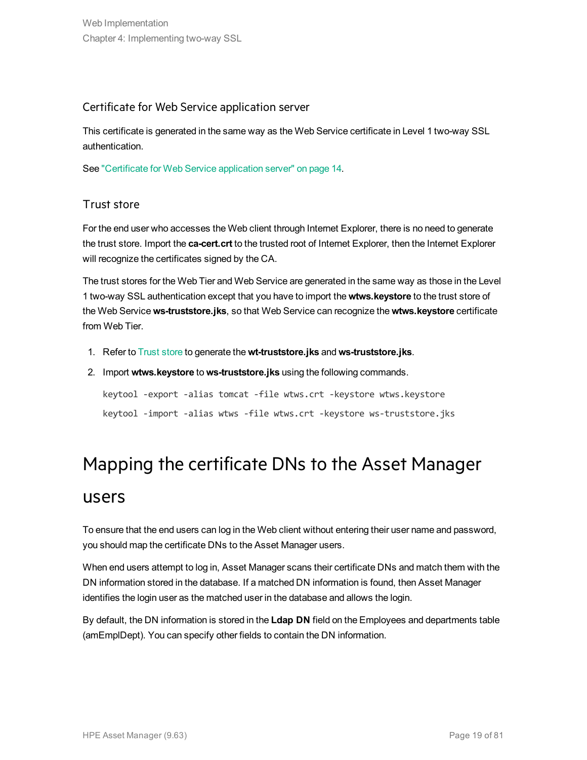#### Certificate for Web Service application server

This certificate is generated in the same way as the Web Service certificate in Level 1 two-way SSL authentication.

See ["Certificate](#page-13-0) for Web Service application server" on page 14.

#### Trust store

For the end user who accesses the Web client through Internet Explorer, there is no need to generate the trust store. Import the **ca-cert.crt** to the trusted root of Internet Explorer, then the Internet Explorer will recognize the certificates signed by the CA.

The trust stores for the Web Tier and Web Service are generated in the same way as those in the Level 1 two-way SSL authentication except that you have to import the **wtws.keystore** to the trust store of the Web Service **ws-truststore.jks**, so that Web Service can recognize the **wtws.keystore** certificate from Web Tier.

- 1. Refer to [Trust](#page-13-1) store to generate the **wt-truststore.jks** and **ws-truststore.jks**.
- 2. Import **wtws.keystore** to **ws-truststore.jks** using the following commands.

keytool -export -alias tomcat -file wtws.crt -keystore wtws.keystore keytool -import -alias wtws -file wtws.crt -keystore ws-truststore.jks

## <span id="page-18-0"></span>Mapping the certificate DNs to the Asset Manager

### users

To ensure that the end users can log in the Web client without entering their user name and password, you should map the certificate DNs to the Asset Manager users.

When end users attempt to log in, Asset Manager scans their certificate DNs and match them with the DN information stored in the database. If a matched DN information is found, then Asset Manager identifies the login user as the matched user in the database and allows the login.

By default, the DN information is stored in the **Ldap DN** field on the Employees and departments table (amEmplDept). You can specify other fields to contain the DN information.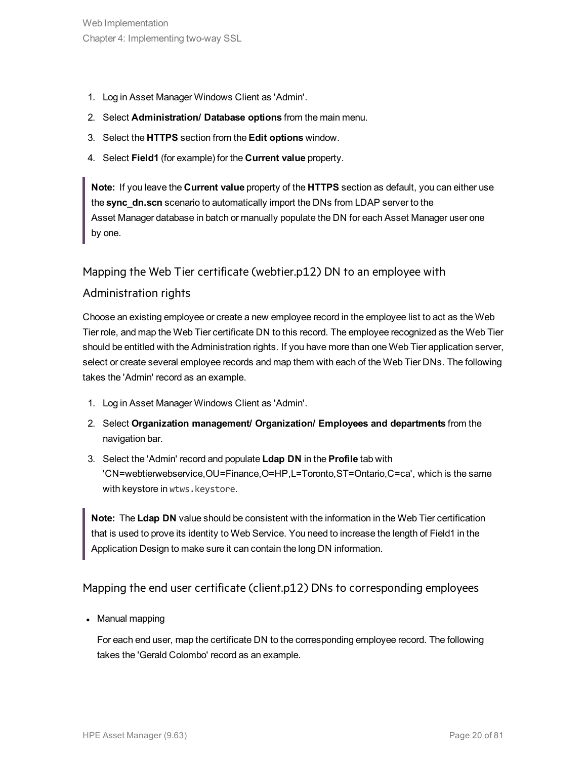- 1. Log in Asset Manager Windows Client as 'Admin'.
- 2. Select **Administration/ Database options** from the main menu.
- 3. Select the **HTTPS** section from the **Edit options** window.
- 4. Select **Field1** (for example) for the **Current value** property.

**Note:** If you leave the **Current value** property of the **HTTPS** section as default, you can either use the **sync\_dn.scn** scenario to automatically import the DNs from LDAP server to the Asset Manager database in batch or manually populate the DN for each Asset Manager user one by one.

#### Mapping the Web Tier certificate (webtier.p12) DN to an employee with

#### Administration rights

Choose an existing employee or create a new employee record in the employee list to act as the Web Tier role, and map the Web Tier certificate DN to this record. The employee recognized as the Web Tier should be entitled with the Administration rights. If you have more than one Web Tier application server, select or create several employee records and map them with each of the Web Tier DNs. The following takes the 'Admin' record as an example.

- 1. Log in Asset Manager Windows Client as 'Admin'.
- 2. Select **Organization management/ Organization/ Employees and departments** from the navigation bar.
- 3. Select the 'Admin' record and populate **Ldap DN** in the **Profile** tab with 'CN=webtierwebservice,OU=Finance,O=HP,L=Toronto,ST=Ontario,C=ca', which is the same with keystore in wtws.keystore.

**Note:** The **Ldap DN** value should be consistent with the information in the Web Tier certification that is used to prove its identity to Web Service. You need to increase the length of Field1 in the Application Design to make sure it can contain the long DN information.

#### Mapping the end user certificate (client.p12) DNs to corresponding employees

• Manual mapping

For each end user, map the certificate DN to the corresponding employee record. The following takes the 'Gerald Colombo' record as an example.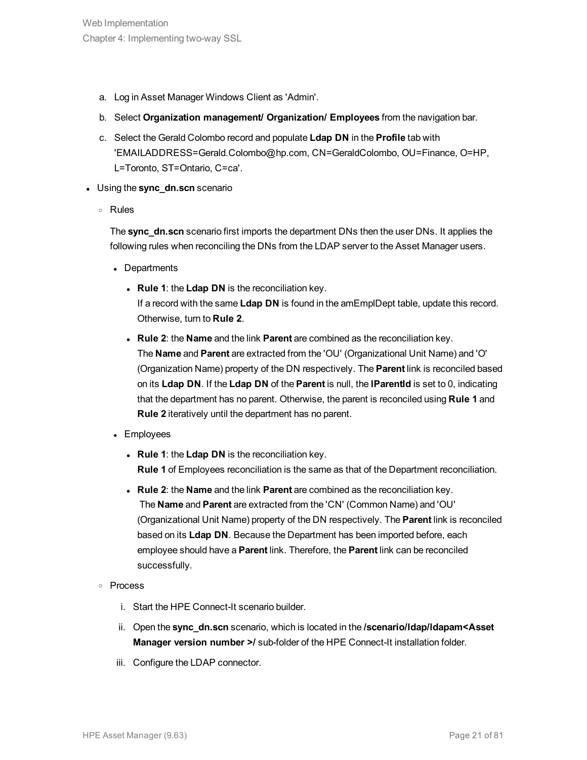- a. Log in Asset Manager Windows Client as 'Admin'.
- b. Select **Organization management/ Organization/ Employees** from the navigation bar.
- c. Select the Gerald Colombo record and populate **Ldap DN** in the **Profile** tab with 'EMAILADDRESS=Gerald.Colombo@hp.com, CN=GeraldColombo, OU=Finance, O=HP, L=Toronto, ST=Ontario, C=ca'.
- **.** Using the **sync\_dn.scn** scenario
	- <sup>o</sup> Rules

The **sync\_dn.scn** scenario first imports the department DNs then the user DNs. It applies the following rules when reconciling the DNs from the LDAP server to the Asset Manager users.

- Departments
	- <sup>l</sup> **Rule 1**: the **Ldap DN** is the reconciliation key.

If a record with the same **Ldap DN** is found in the amEmplDept table, update this record. Otherwise, turn to **Rule 2**.

- <sup>l</sup> **Rule 2**: the **Name** and the link **Parent** are combined as the reconciliation key. The **Name** and **Parent** are extracted from the 'OU' (Organizational Unit Name) and 'O' (Organization Name) property of the DN respectively. The **Parent** link is reconciled based on its **Ldap DN**. If the **Ldap DN** of the **Parent** is null, the **lParentId** is set to 0, indicating that the department has no parent. Otherwise, the parent is reconciled using **Rule 1** and **Rule 2** iteratively until the department has no parent.
- Employees
	- <sup>l</sup> **Rule 1**: the **Ldap DN** is the reconciliation key. **Rule 1** of Employees reconciliation is the same as that of the Department reconciliation.
	- **Rule 2**: the **Name** and the link **Parent** are combined as the reconciliation key. The **Name** and **Parent** are extracted from the 'CN' (Common Name) and 'OU' (Organizational Unit Name) property of the DN respectively. The **Parent** link is reconciled based on its **Ldap DN**. Because the Department has been imported before, each employee should have a **Parent** link. Therefore, the **Parent** link can be reconciled successfully.
- <sup>o</sup> Process
	- i. Start the HPE Connect-It scenario builder.
	- ii. Open the **sync\_dn.scn** scenario, which is located in the **/scenario/ldap/ldapam<Asset Manager version number >/** sub-folder of the HPE Connect-It installation folder.
	- iii. Configure the LDAP connector.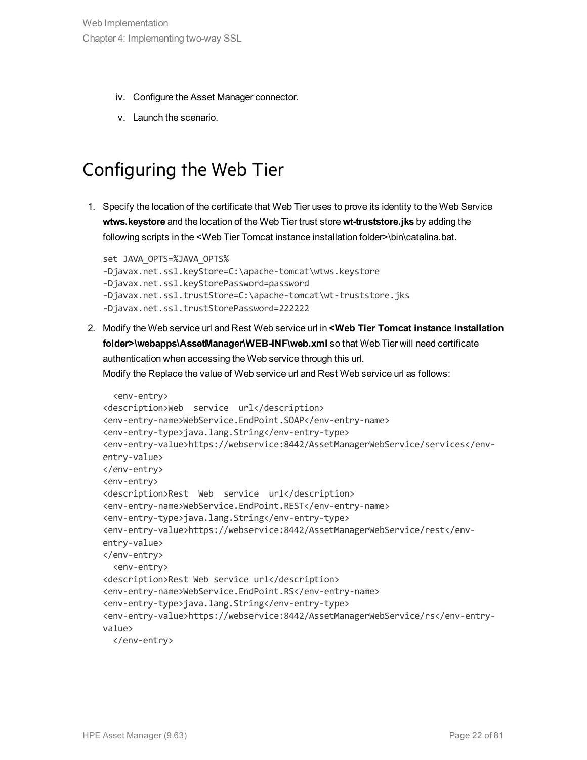- iv. Configure the Asset Manager connector.
- v. Launch the scenario.

### <span id="page-21-0"></span>Configuring the Web Tier

1. Specify the location of the certificate that Web Tier uses to prove its identity to the Web Service **wtws.keystore** and the location of the Web Tier trust store **wt-truststore.jks** by adding the following scripts in the <Web Tier Tomcat instance installation folder>\bin\catalina.bat.

```
set JAVA_OPTS=%JAVA_OPTS%
-Djavax.net.ssl.keyStore=C:\apache-tomcat\wtws.keystore
-Djavax.net.ssl.keyStorePassword=password
-Djavax.net.ssl.trustStore=C:\apache-tomcat\wt-truststore.jks
-Djavax.net.ssl.trustStorePassword=222222
```
2. Modify the Web service url and Rest Web service url in **<Web Tier Tomcat instance installation folder>\webapps\AssetManager\WEB-INF\web.xml** so that Web Tier will need certificate authentication when accessing the Web service through this url. Modify the Replace the value of Web service url and Rest Web service url as follows:

```
<env-entry>
<description>Web service url</description>
<env-entry-name>WebService.EndPoint.SOAP</env-entry-name>
<env-entry-type>java.lang.String</env-entry-type>
<env-entry-value>https://webservice:8442/AssetManagerWebService/services</env-
entry-value>
</env-entry>
<env-entry>
<description>Rest Web service url</description>
<env-entry-name>WebService.EndPoint.REST</env-entry-name>
<env-entry-type>java.lang.String</env-entry-type>
<env-entry-value>https://webservice:8442/AssetManagerWebService/rest</env-
entry-value>
</env-entry>
  <env-entry>
<description>Rest Web service url</description>
<env-entry-name>WebService.EndPoint.RS</env-entry-name>
<env-entry-type>java.lang.String</env-entry-type>
<env-entry-value>https://webservice:8442/AssetManagerWebService/rs</env-entry-
value>
  </env-entry>
```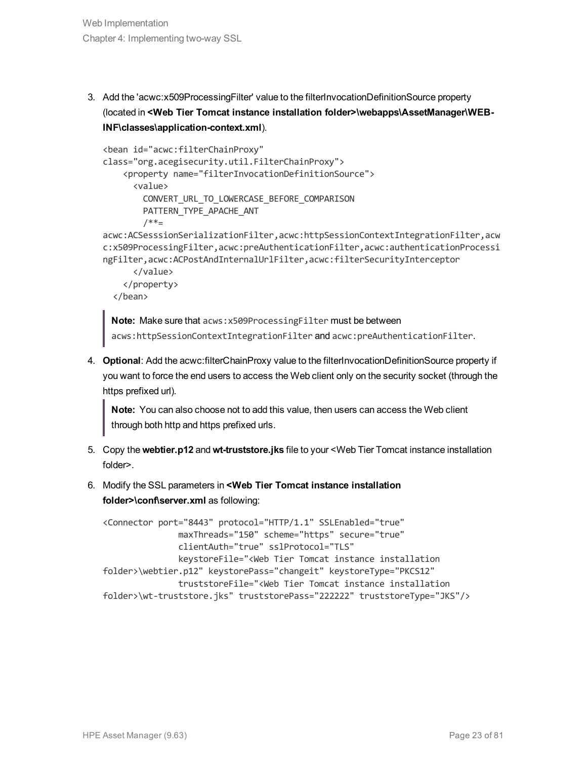3. Add the 'acwc:x509ProcessingFilter' value to the filterInvocationDefinitionSource property (located in **<Web Tier Tomcat instance installation folder>\webapps\AssetManager\WEB-INF\classes\application-context.xml**).

```
<bean id="acwc:filterChainProxy"
class="org.acegisecurity.util.FilterChainProxy">
    <property name="filterInvocationDefinitionSource">
      <value>
       CONVERT_URL_TO_LOWERCASE_BEFORE_COMPARISON
       PATTERN_TYPE_APACHE_ANT
       /**=
acwc:ACSesssionSerializationFilter,acwc:httpSessionContextIntegrationFilter,acw
c:x509ProcessingFilter,acwc:preAuthenticationFilter,acwc:authenticationProcessi
ngFilter,acwc:ACPostAndInternalUrlFilter,acwc:filterSecurityInterceptor
     </value>
    </property>
  </bean>
```
**Note:** Make sure that acws:x509ProcessingFilter must be between acws:httpSessionContextIntegrationFilter and acwc:preAuthenticationFilter.

4. **Optional**: Add the acwc:filterChainProxy value to the filterInvocationDefinitionSource property if you want to force the end users to access the Web client only on the security socket (through the https prefixed url).

**Note:** You can also choose not to add this value, then users can access the Web client through both http and https prefixed urls.

- 5. Copy the **webtier.p12** and **wt-truststore.jks** file to your <Web Tier Tomcat instance installation folder>.
- 6. Modify the SSL parameters in **<Web Tier Tomcat instance installation folder>\conf\server.xml** as following:

<Connector port="8443" protocol="HTTP/1.1" SSLEnabled="true" maxThreads="150" scheme="https" secure="true" clientAuth="true" sslProtocol="TLS" keystoreFile="<Web Tier Tomcat instance installation folder>\webtier.p12" keystorePass="changeit" keystoreType="PKCS12" truststoreFile="<Web Tier Tomcat instance installation folder>\wt-truststore.jks" truststorePass="222222" truststoreType="JKS"/>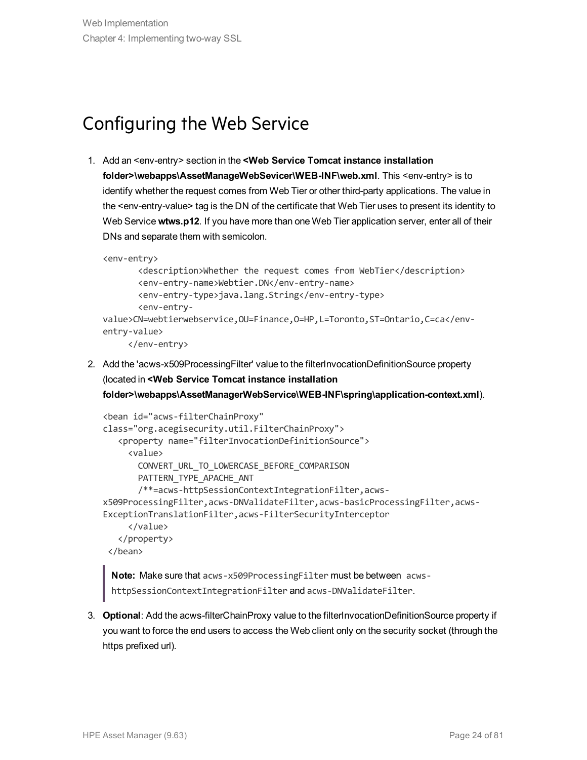### <span id="page-23-0"></span>Configuring the Web Service

1. Add an <env-entry> section in the **<Web Service Tomcat instance installation folder>\webapps\AssetManageWebSevicer\WEB-INF\web.xml**. This <env-entry> is to identify whether the request comes from Web Tier or other third-party applications. The value in the <env-entry-value> tag is the DN of the certificate that Web Tier uses to present its identity to Web Service **wtws.p12**. If you have more than one Web Tier application server, enter all of their DNs and separate them with semicolon.

```
<env-entry>
       <description>Whether the request comes from WebTier</description>
       <env-entry-name>Webtier.DN</env-entry-name>
       <env-entry-type>java.lang.String</env-entry-type>
       <env-entry-
value>CN=webtierwebservice,OU=Finance,O=HP,L=Toronto,ST=Ontario,C=ca</env-
entry-value>
     </env-entry>
```
2. Add the 'acws-x509ProcessingFilter' value to the filterInvocationDefinitionSource property (located in **<Web Service Tomcat instance installation folder>\webapps\AssetManagerWebService\WEB-INF\spring\application-context.xml**).

```
<bean id="acws-filterChainProxy"
class="org.acegisecurity.util.FilterChainProxy">
   <property name="filterInvocationDefinitionSource">
     <value>
       CONVERT_URL_TO_LOWERCASE_BEFORE_COMPARISON
       PATTERN_TYPE_APACHE_ANT
       /**=acws-httpSessionContextIntegrationFilter,acws-
x509ProcessingFilter,acws-DNValidateFilter,acws-basicProcessingFilter,acws-
ExceptionTranslationFilter,acws-FilterSecurityInterceptor
     </value>
   </property>
</bean>
```
**Note:** Make sure that acws-x509ProcessingFilter must be between acwshttpSessionContextIntegrationFilter and acws-DNValidateFilter.

3. **Optional**: Add the acws-filterChainProxy value to the filterInvocationDefinitionSource property if you want to force the end users to access the Web client only on the security socket (through the https prefixed url).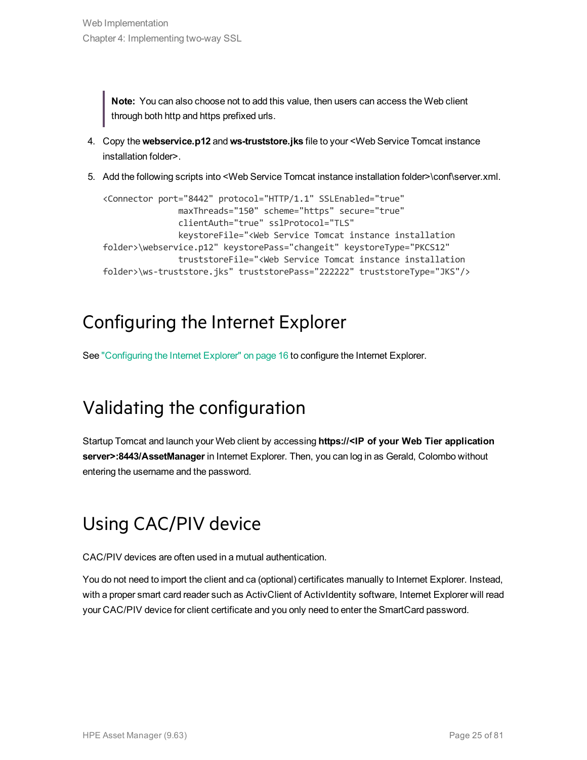**Note:** You can also choose not to add this value, then users can access the Web client through both http and https prefixed urls.

- 4. Copy the **webservice.p12** and **ws-truststore.jks** file to your <Web Service Tomcat instance installation folder>.
- 5. Add the following scripts into <Web Service Tomcat instance installation folder>\conf\server.xml.

```
<Connector port="8442" protocol="HTTP/1.1" SSLEnabled="true"
               maxThreads="150" scheme="https" secure="true"
               clientAuth="true" sslProtocol="TLS"
               keystoreFile="<Web Service Tomcat instance installation
folder>\webservice.p12" keystorePass="changeit" keystoreType="PKCS12"
               truststoreFile="<Web Service Tomcat instance installation
folder>\ws-truststore.jks" truststorePass="222222" truststoreType="JKS"/>
```
### <span id="page-24-0"></span>Configuring the Internet Explorer

<span id="page-24-1"></span>See ["Configuring](#page-15-0) the Internet Explorer" on page 16 to configure the Internet Explorer.

### Validating the configuration

Startup Tomcat and launch your Web client by accessing **https://<IP of your Web Tier application server>:8443/AssetManager** in Internet Explorer. Then, you can log in as Gerald, Colombo without entering the username and the password.

### <span id="page-24-2"></span>Using CAC/PIV device

CAC/PIV devices are often used in a mutual authentication.

You do not need to import the client and ca (optional) certificates manually to Internet Explorer. Instead, with a proper smart card reader such as ActivClient of ActivIdentity software, Internet Explorer will read your CAC/PIV device for client certificate and you only need to enter the SmartCard password.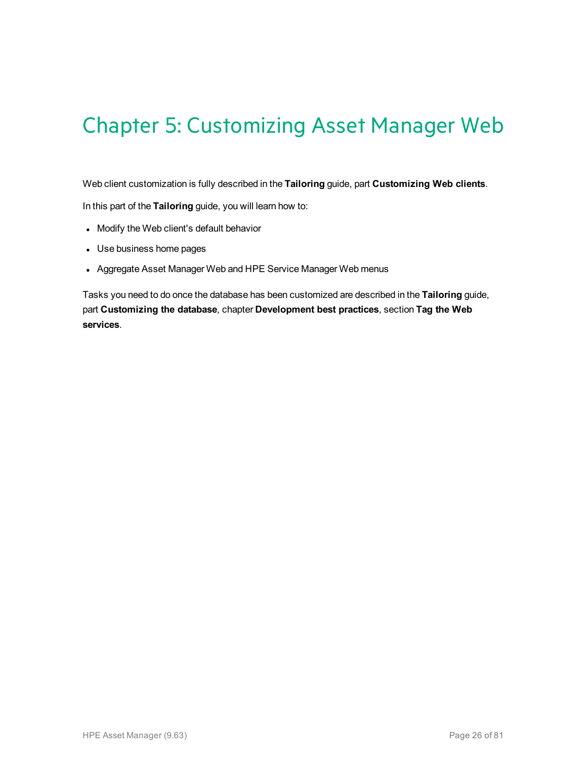## <span id="page-25-0"></span>Chapter 5: Customizing Asset Manager Web

Web client customization is fully described in the **Tailoring** guide, part **Customizing Web clients**.

In this part of the **Tailoring** guide, you will learn how to:

- Modify the Web client's default behavior
- Use business home pages
- Aggregate Asset Manager Web and HPE Service Manager Web menus

Tasks you need to do once the database has been customized are described in the **Tailoring** guide, part **Customizing the database**, chapter **Development best practices**, section **Tag the Web services**.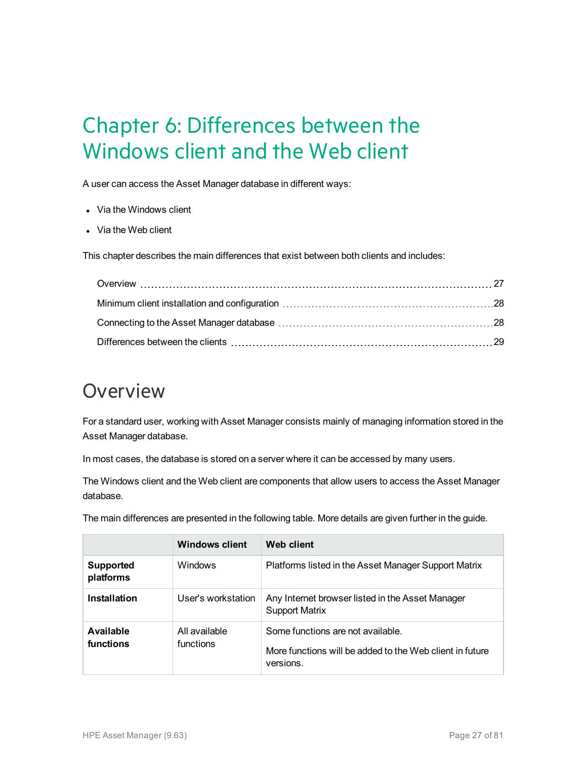## <span id="page-26-0"></span>Chapter 6: Differences between the Windows client and the Web client

A user can access the Asset Manager database in different ways:

- Via the Windows client
- Via the Web client

This chapter describes the main differences that exist between both clients and includes:

## <span id="page-26-1"></span>**Overview**

For a standard user, working with Asset Manager consists mainly of managing information stored in the Asset Manager database.

In most cases, the database is stored on a server where it can be accessed by many users.

The Windows client and the Web client are components that allow users to access the Asset Manager database.

The main differences are presented in the following table. More details are given further in the guide.

|                               | <b>Windows client</b>      | Web client                                                                                                 |
|-------------------------------|----------------------------|------------------------------------------------------------------------------------------------------------|
| <b>Supported</b><br>platforms | Windows                    | Platforms listed in the Asset Manager Support Matrix                                                       |
| <b>Installation</b>           | User's workstation         | Any Internet browser listed in the Asset Manager<br>Support Matrix                                         |
| Available<br>functions        | All available<br>functions | Some functions are not available.<br>More functions will be added to the Web client in future<br>versions. |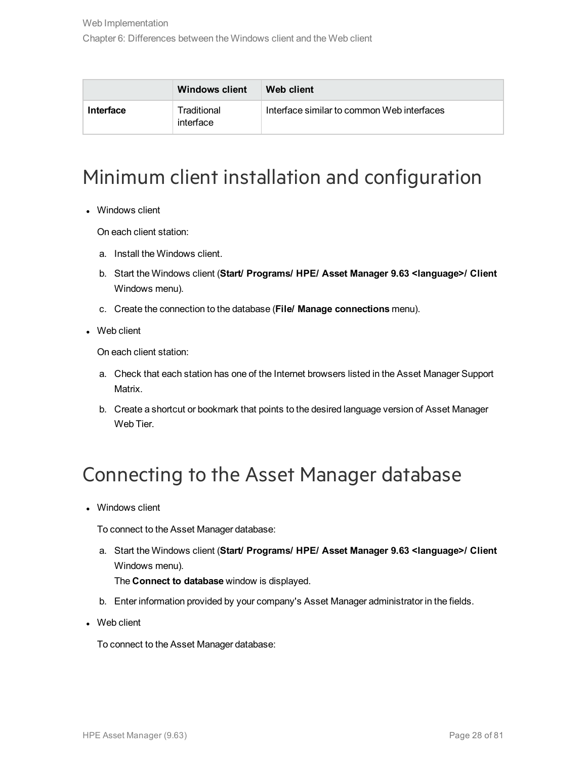|           | <b>Windows client</b>    | Web client                                 |
|-----------|--------------------------|--------------------------------------------|
| Interface | Traditional<br>interface | Interface similar to common Web interfaces |

### <span id="page-27-0"></span>Minimum client installation and configuration

• Windows client

On each client station:

- a. Install the Windows client.
- b. Start the Windows client (**Start/ Programs/ HPE/ Asset Manager 9.63 <language>/ Client** Windows menu).
- c. Create the connection to the database (**File/ Manage connections** menu).
- Web client

On each client station:

- a. Check that each station has one of the Internet browsers listed in the Asset Manager Support Matrix.
- b. Create a shortcut or bookmark that points to the desired language version of Asset Manager Web Tier.

### <span id="page-27-1"></span>Connecting to the Asset Manager database

• Windows client

To connect to the Asset Manager database:

a. Start the Windows client (**Start/ Programs/ HPE/ Asset Manager 9.63 <language>/ Client** Windows menu).

The **Connect to database** window is displayed.

- b. Enter information provided by your company's Asset Manager administrator in the fields.
- Web client

To connect to the Asset Manager database: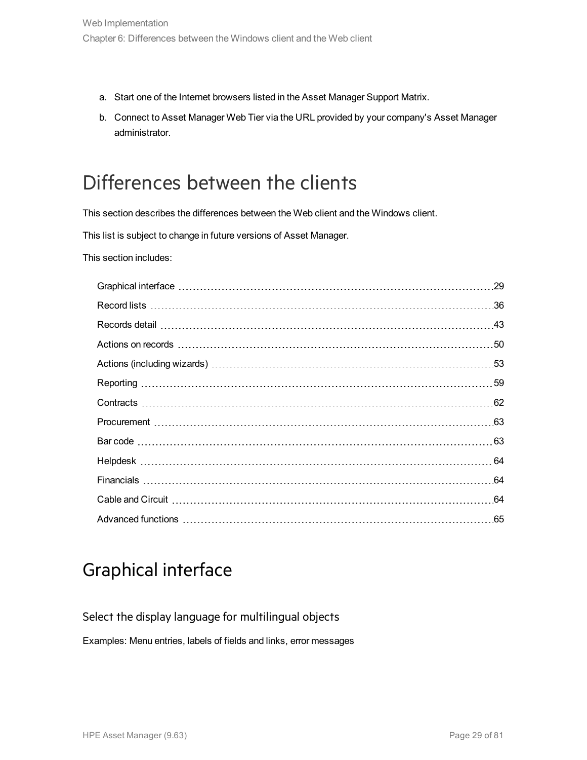- a. Start one of the Internet browsers listed in the Asset Manager Support Matrix.
- b. Connect to Asset Manager Web Tier via the URL provided by your company's Asset Manager administrator.

### <span id="page-28-0"></span>Differences between the clients

This section describes the differences between the Web client and the Windows client.

This list is subject to change in future versions of Asset Manager.

This section includes:

### <span id="page-28-1"></span>Graphical interface

Select the display language for multilingual objects

Examples: Menu entries, labels of fields and links, error messages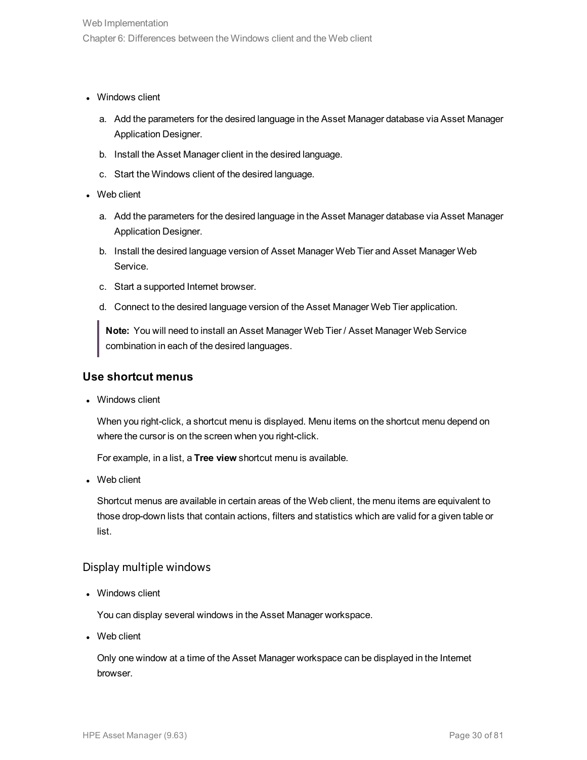- Windows client
	- a. Add the parameters for the desired language in the Asset Manager database via Asset Manager Application Designer.
	- b. Install the Asset Manager client in the desired language.
	- c. Start the Windows client of the desired language.
- Web client
	- a. Add the parameters for the desired language in the Asset Manager database via Asset Manager Application Designer.
	- b. Install the desired language version of Asset Manager Web Tier and Asset Manager Web Service.
	- c. Start a supported Internet browser.
	- d. Connect to the desired language version of the Asset Manager Web Tier application.

**Note:** You will need to install an Asset Manager Web Tier / Asset Manager Web Service combination in each of the desired languages.

#### **Use shortcut menus**

• Windows client

When you right-click, a shortcut menu is displayed. Menu items on the shortcut menu depend on where the cursor is on the screen when you right-click.

For example, in a list, a **Tree view** shortcut menu is available.

• Web client

Shortcut menus are available in certain areas of the Web client, the menu items are equivalent to those drop-down lists that contain actions, filters and statistics which are valid for a given table or list.

#### Display multiple windows

• Windows client

You can display several windows in the Asset Manager workspace.

• Web client

Only one window at a time of the Asset Manager workspace can be displayed in the Internet browser.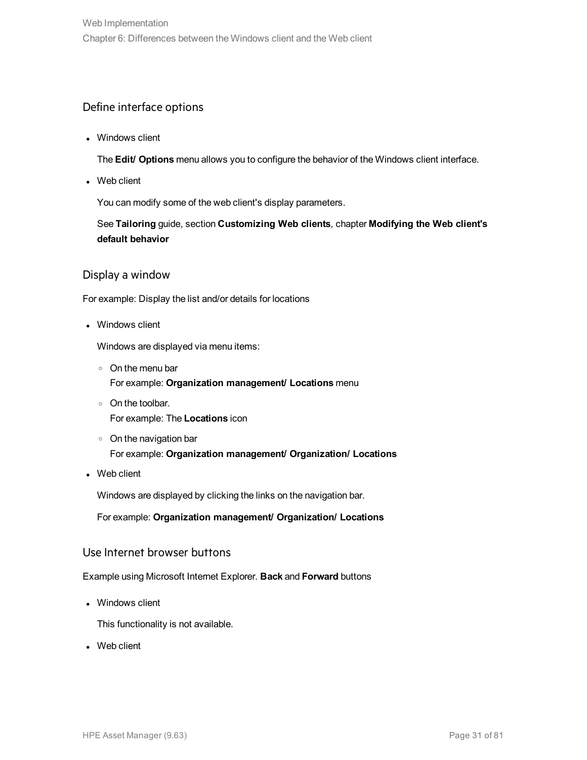### Define interface options

• Windows client

The **Edit/ Options** menu allows you to configure the behavior of the Windows client interface.

• Web client

You can modify some of the web client's display parameters.

See **Tailoring** guide, section **Customizing Web clients**, chapter **Modifying the Web client's default behavior**

#### Display a window

For example: Display the list and/or details for locations

• Windows client

Windows are displayed via menu items:

- <sup>o</sup> On the menu bar For example: **Organization management/ Locations** menu
- <sup>o</sup> On the toolbar. For example: The **Locations** icon
- <sup>o</sup> On the navigation bar For example: **Organization management/ Organization/ Locations**
- Web client

Windows are displayed by clicking the links on the navigation bar.

For example: **Organization management/ Organization/ Locations**

#### Use Internet browser buttons

Example using Microsoft Internet Explorer. **Back** and **Forward** buttons

• Windows client

This functionality is not available.

 $\bullet$  Web client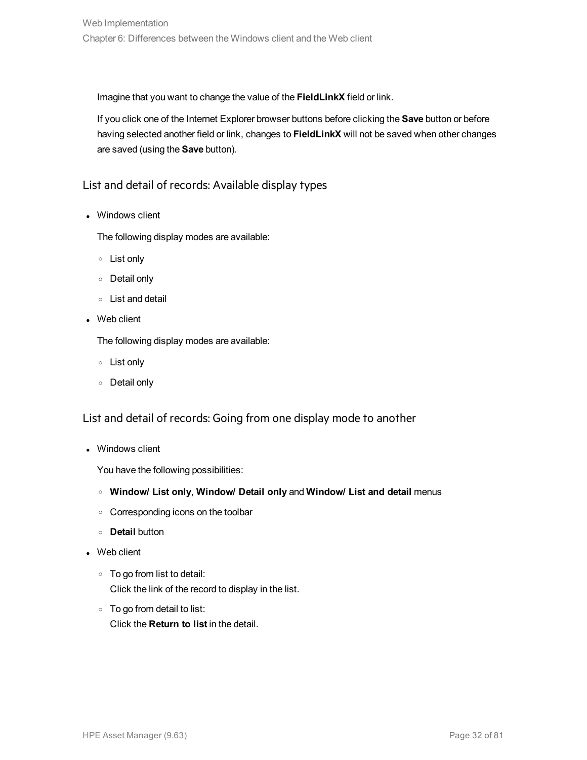Imagine that you want to change the value of the **FieldLinkX** field or link.

If you click one of the Internet Explorer browser buttons before clicking the **Save** button or before having selected another field or link, changes to **FieldLinkX** will not be saved when other changes are saved (using the **Save** button).

List and detail of records: Available display types

• Windows client

The following display modes are available:

- <sup>o</sup> List only
- <sup>o</sup> Detail only
- <sup>o</sup> List and detail
- Web client

The following display modes are available:

- <sup>o</sup> List only
- <sup>o</sup> Detail only

List and detail of records: Going from one display mode to another

• Windows client

You have the following possibilities:

- <sup>o</sup> **Window/ List only**, **Window/ Detail only** and **Window/ List and detail** menus
- <sup>o</sup> Corresponding icons on the toolbar
- <sup>o</sup> **Detail** button
- $\bullet$  Web client
	- <sup>o</sup> To go from list to detail: Click the link of the record to display in the list.
	- <sup>o</sup> To go from detail to list: Click the **Return to list** in the detail.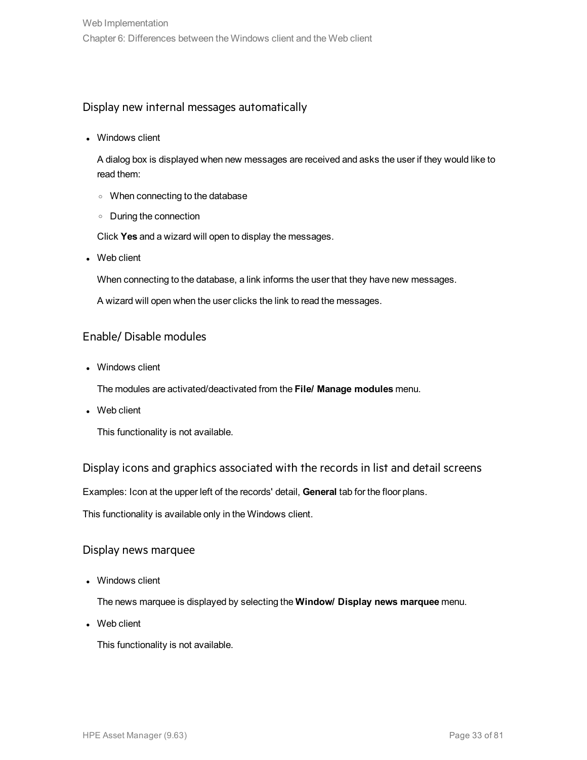#### Display new internal messages automatically

• Windows client

A dialog box is displayed when new messages are received and asks the user if they would like to read them:

- <sup>o</sup> When connecting to the database
- <sup>o</sup> During the connection

Click **Yes** and a wizard will open to display the messages.

• Web client

When connecting to the database, a link informs the user that they have new messages.

A wizard will open when the user clicks the link to read the messages.

#### Enable/ Disable modules

• Windows client

The modules are activated/deactivated from the **File/ Manage modules** menu.

• Web client

This functionality is not available.

Display icons and graphics associated with the records in list and detail screens

Examples: Icon at the upper left of the records' detail, **General** tab for the floor plans.

This functionality is available only in the Windows client.

#### Display news marquee

• Windows client

The news marquee is displayed by selecting the **Window/ Display news marquee** menu.

• Web client

This functionality is not available.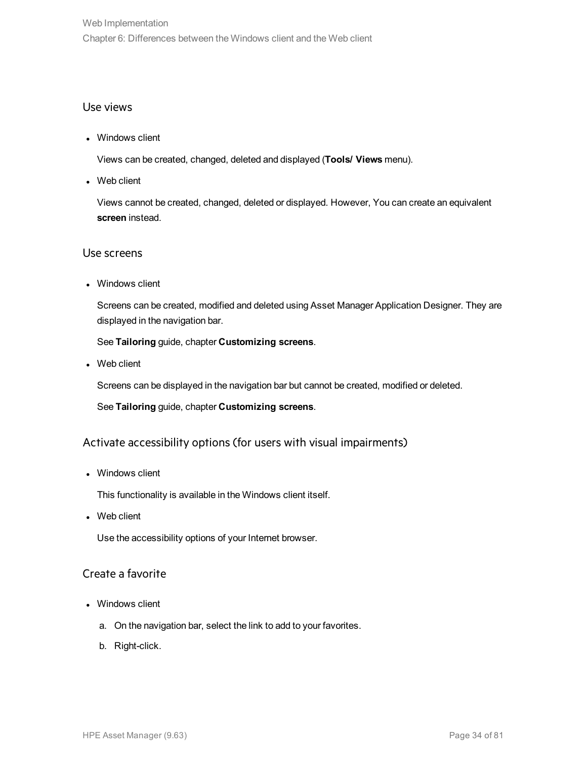Web Implementation Chapter 6: Differences between the Windows client and the Web client

### Use views

• Windows client

Views can be created, changed, deleted and displayed (**Tools/ Views** menu).

 $\bullet$  Web client

Views cannot be created, changed, deleted or displayed. However, You can create an equivalent **screen** instead.

#### Use screens

• Windows client

Screens can be created, modified and deleted using Asset Manager Application Designer. They are displayed in the navigation bar.

See **Tailoring** guide, chapter **Customizing screens**.

• Web client

Screens can be displayed in the navigation bar but cannot be created, modified or deleted.

See **Tailoring** guide, chapter **Customizing screens**.

#### Activate accessibility options(for users with visual impairments)

• Windows client

This functionality is available in the Windows client itself.

• Web client

Use the accessibility options of your Internet browser.

#### Create a favorite

- Windows client
	- a. On the navigation bar, select the link to add to your favorites.
	- b. Right-click.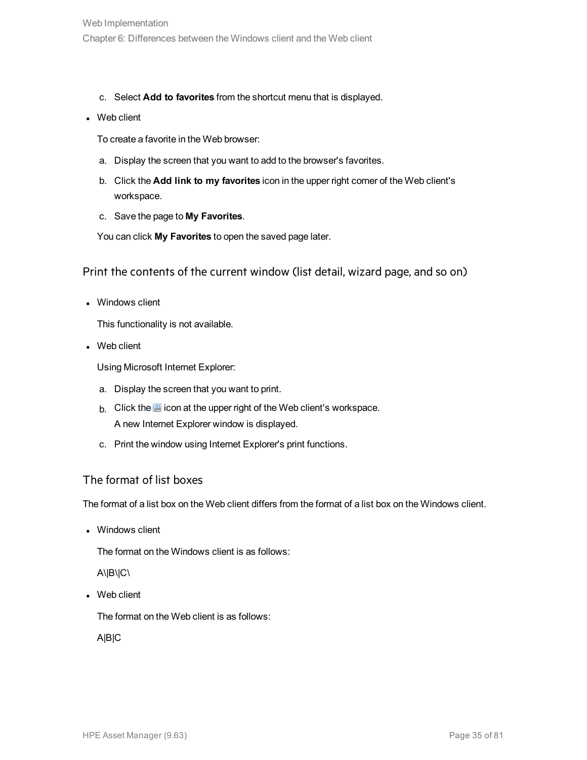- c. Select **Add to favorites** from the shortcut menu that is displayed.
- Web client

To create a favorite in the Web browser:

- a. Display the screen that you want to add to the browser's favorites.
- b. Click the **Add link to my favorites** icon in the upper right corner of the Web client's workspace.
- c. Save the page to **My Favorites**.

You can click **My Favorites** to open the saved page later.

Print the contents of the current window (list detail, wizard page, and so on)

• Windows client

This functionality is not available.

• Web client

Using Microsoft Internet Explorer:

- a. Display the screen that you want to print.
- b. Click the  $\blacksquare$  icon at the upper right of the Web client's workspace. A new Internet Explorer window is displayed.
- c. Print the window using Internet Explorer's print functions.

#### The format of list boxes

The format of a list box on the Web client differs from the format of a list box on the Windows client.

• Windows client

The format on the Windows client is as follows:

 $A\|B\|C\|$ 

• Web client

The format on the Web client is as follows:

A|B|C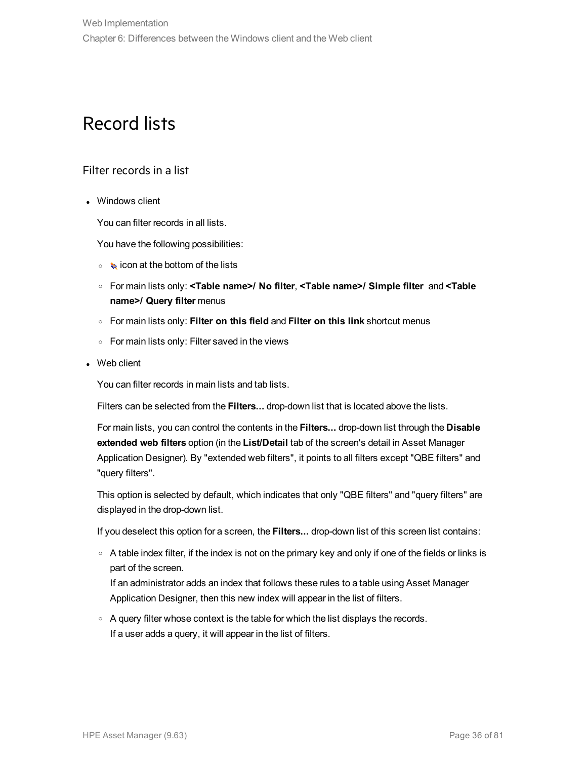### <span id="page-35-0"></span>Record lists

### Filter records in a list

• Windows client

You can filter records in all lists.

You have the following possibilities:

- $\circ$   $\bullet$  icon at the bottom of the lists
- <sup>o</sup> For main lists only: **<Table name>/ No filter**, **<Table name>/ Simple filter** and **<Table name>/ Query filter** menus
- <sup>o</sup> For main lists only: **Filter on this field** and **Filter on this link** shortcut menus
- <sup>o</sup> For main lists only: Filter saved in the views
- Web client

You can filter records in main lists and tab lists.

Filters can be selected from the **Filters...** drop-down list that is located above the lists.

For main lists, you can control the contents in the **Filters...** drop-down list through the **Disable extended web filters** option (in the **List/Detail** tab of the screen's detail in Asset Manager Application Designer). By "extended web filters", it points to all filters except "QBE filters" and "query filters".

This option is selected by default, which indicates that only "QBE filters" and "query filters" are displayed in the drop-down list.

If you deselect this option for a screen, the **Filters...** drop-down list of this screen list contains:

 $\circ$  A table index filter, if the index is not on the primary key and only if one of the fields or links is part of the screen.

If an administrator adds an index that follows these rules to a table using Asset Manager Application Designer, then this new index will appear in the list of filters.

 $\circ$  A query filter whose context is the table for which the list displays the records. If a user adds a query, it will appear in the list of filters.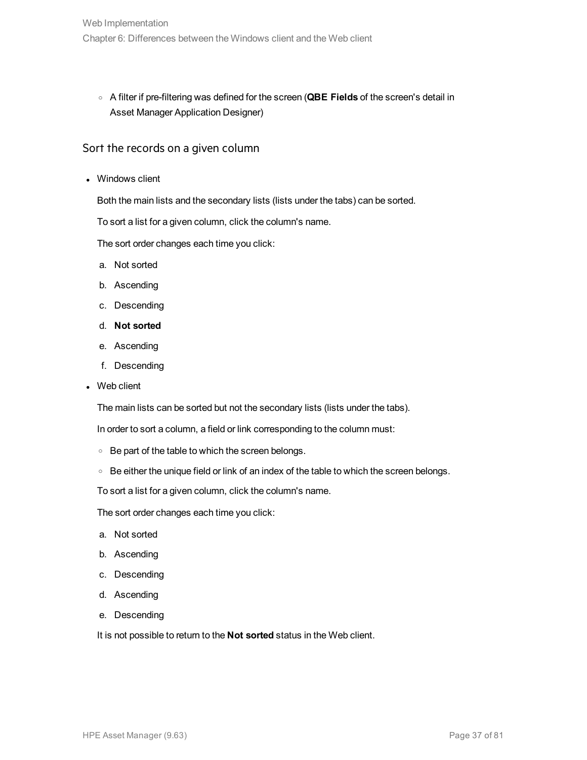<sup>o</sup> A filter if pre-filtering was defined for the screen (**QBE Fields** of the screen's detail in Asset Manager Application Designer)

#### Sort the records on a given column

• Windows client

Both the main lists and the secondary lists (lists under the tabs) can be sorted.

To sort a list for a given column, click the column's name.

The sort order changes each time you click:

- a. Not sorted
- b. Ascending
- c. Descending
- d. **Not sorted**
- e. Ascending
- f. Descending
- Web client

The main lists can be sorted but not the secondary lists (lists under the tabs).

In order to sort a column, a field or link corresponding to the column must:

- Be part of the table to which the screen belongs.
- Be either the unique field or link of an index of the table to which the screen belongs.

To sort a list for a given column, click the column's name.

The sort order changes each time you click:

- a. Not sorted
- b. Ascending
- c. Descending
- d. Ascending
- e. Descending

It is not possible to return to the **Not sorted** status in the Web client.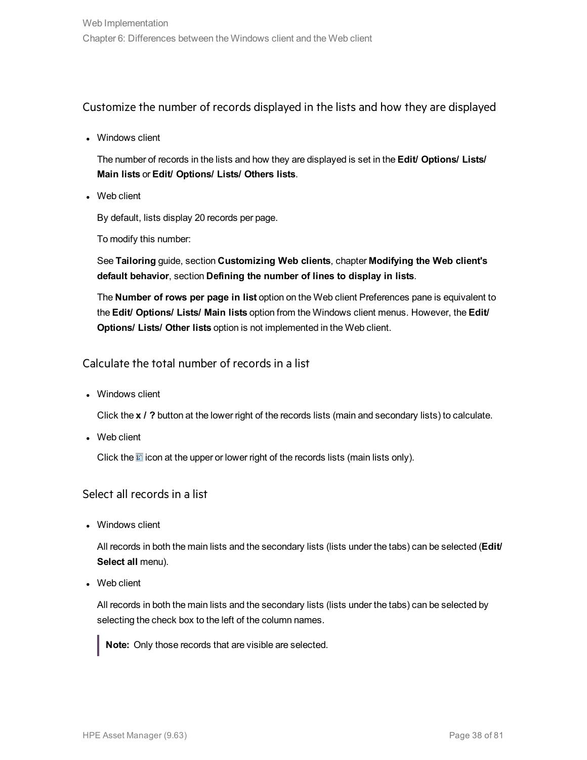### Customize the number of records displayed in the lists and how they are displayed

• Windows client

The number of records in the lists and how they are displayed is set in the **Edit/ Options/ Lists/ Main lists** or **Edit/ Options/ Lists/ Others lists**.

• Web client

By default, lists display 20 records per page.

To modify this number:

See **Tailoring** guide, section **Customizing Web clients**, chapter **Modifying the Web client's default behavior**, section **Defining the number of lines to display in lists**.

The **Number of rows per page in list** option on the Web client Preferences pane is equivalent to the **Edit/ Options/ Lists/ Main lists** option from the Windows client menus. However, the **Edit/ Options/ Lists/ Other lists** option is not implemented in the Web client.

#### Calculate the total number of recordsin a list

• Windows client

Click the **x / ?** button at the lower right of the records lists (main and secondary lists) to calculate.

• Web client

Click the  $\overline{z}$  icon at the upper or lower right of the records lists (main lists only).

#### Select all records in a list

. Windows client

All records in both the main lists and the secondary lists (lists under the tabs) can be selected (**Edit/ Select all** menu).

 $\bullet$  Web client

All records in both the main lists and the secondary lists (lists under the tabs) can be selected by selecting the check box to the left of the column names.

**Note:** Only those records that are visible are selected.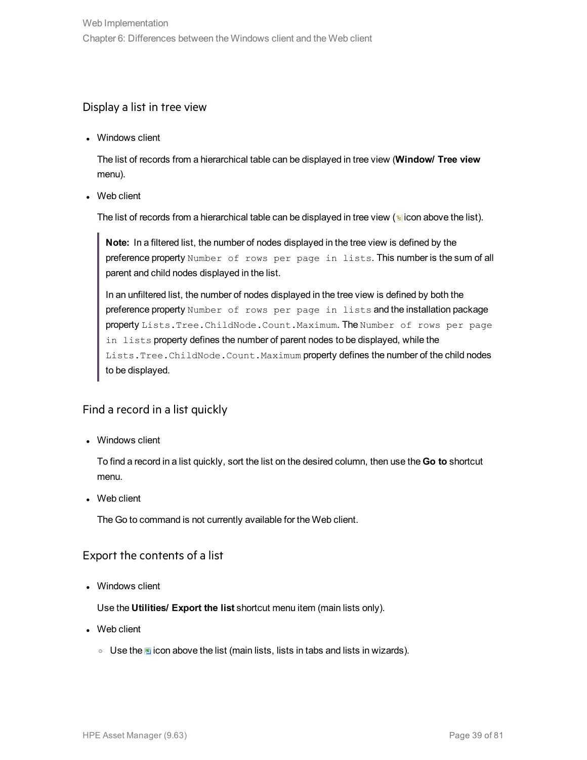### Display a list in tree view

• Windows client

The list of records from a hierarchical table can be displayed in tree view (**Window/ Tree view** menu).

• Web client

The list of records from a hierarchical table can be displayed in tree view  $($  $\cdot$  $\cdot$  $\cdot$  $\cdot$  icon above the list).

**Note:** In a filtered list, the number of nodes displayed in the tree view is defined by the preference property Number of rows per page in lists. This number is the sum of all parent and child nodes displayed in the list.

In an unfiltered list, the number of nodes displayed in the tree view is defined by both the preference property Number of rows per page in lists and the installation package property Lists.Tree.ChildNode.Count.Maximum. The Number of rows per page in lists property defines the number of parent nodes to be displayed, while the Lists.Tree.ChildNode.Count.Maximum property defines the number of the child nodes to be displayed.

### Find a record in a list quickly

• Windows client

To find a record in a list quickly, sort the list on the desired column, then use the **Go to** shortcut menu.

• Web client

The Go to command is not currently available for the Web client.

### Export the contents of a list

• Windows client

Use the **Utilities/ Export the list** shortcut menu item (main lists only).

- Web client
	- $\circ$  Use the **i** icon above the list (main lists, lists in tabs and lists in wizards).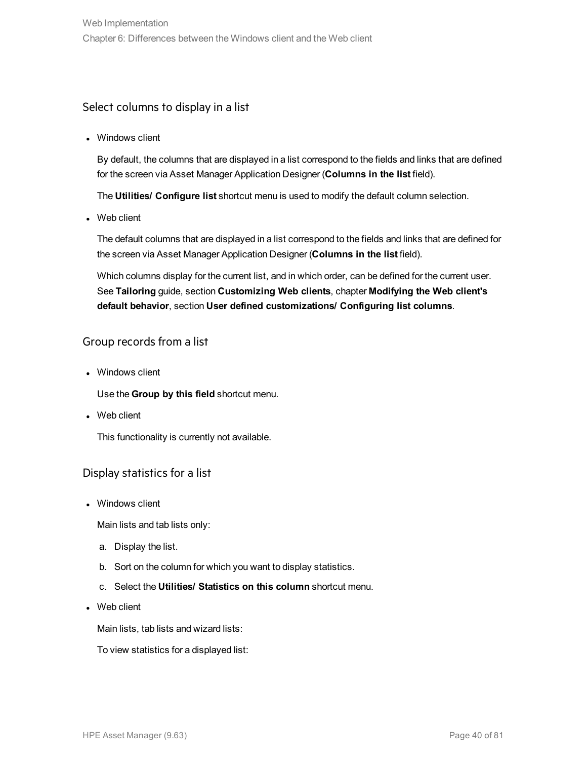#### Select columns to display in a list

• Windows client

By default, the columns that are displayed in a list correspond to the fields and links that are defined for the screen via Asset Manager Application Designer (**Columns in the list** field).

The **Utilities/ Configure list** shortcut menu is used to modify the default column selection.

• Web client

The default columns that are displayed in a list correspond to the fields and links that are defined for the screen via Asset Manager Application Designer (**Columns in the list** field).

Which columns display for the current list, and in which order, can be defined for the current user. See **Tailoring** guide, section **Customizing Web clients**, chapter **Modifying the Web client's default behavior**, section **User defined customizations/ Configuring list columns**.

#### Group records from a list

• Windows client

Use the **Group by this field** shortcut menu.

• Web client

This functionality is currently not available.

#### Display statistics for a list

• Windows client

Main lists and tab lists only:

- a. Display the list.
- b. Sort on the column for which you want to display statistics.
- c. Select the **Utilities/ Statistics on this column** shortcut menu.
- Web client

Main lists, tab lists and wizard lists:

To view statistics for a displayed list: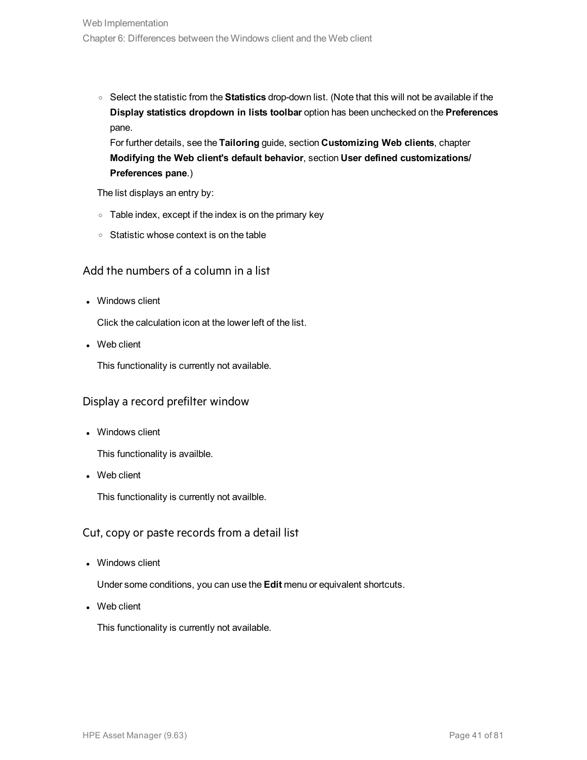<sup>o</sup> Select the statistic from the **Statistics** drop-down list. (Note that this will not be available if the **Display statistics dropdown in lists toolbar** option has been unchecked on the **Preferences** pane.

For further details, see the **Tailoring** guide, section **Customizing Web clients**, chapter **Modifying the Web client's default behavior**, section **User defined customizations/ Preferences pane**.)

The list displays an entry by:

- $\circ$  Table index, except if the index is on the primary key
- <sup>o</sup> Statistic whose context is on the table

#### Add the numbers of a column in a list

• Windows client

Click the calculation icon at the lower left of the list.

• Web client

This functionality is currently not available.

#### Display a record prefilter window

• Windows client

This functionality is availble.

• Web client

This functionality is currently not availble.

#### Cut, copy or paste records from a detail list

• Windows client

Under some conditions, you can use the **Edit** menu or equivalent shortcuts.

• Web client

This functionality is currently not available.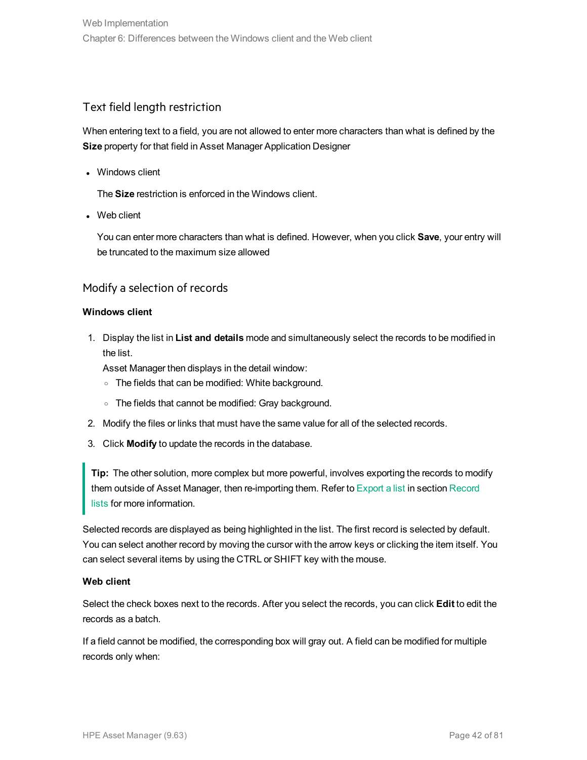### Text field length restriction

When entering text to a field, you are not allowed to enter more characters than what is defined by the **Size** property for that field in Asset Manager Application Designer

• Windows client

The **Size** restriction is enforced in the Windows client.

• Web client

You can enter more characters than what is defined. However, when you click **Save**, your entry will be truncated to the maximum size allowed

#### Modify a selection of records

#### **Windows client**

1. Display the list in **List and details** mode and simultaneously select the records to be modified in the list.

Asset Manager then displays in the detail window:

- The fields that can be modified: White background.
- <sup>o</sup> The fields that cannot be modified: Gray background.
- 2. Modify the files or links that must have the same value for all of the selected records.
- 3. Click **Modify** to update the records in the database.

**Tip:** The other solution, more complex but more powerful, involves exporting the records to modify them outside of Asset Manager, then re-importing them. Refer to Export a list in section Record lists for more information.

Selected records are displayed as being highlighted in the list. The first record is selected by default. You can select another record by moving the cursor with the arrow keys or clicking the item itself. You can select several items by using the CTRL or SHIFT key with the mouse.

#### **Web client**

Select the check boxes next to the records. After you select the records, you can click **Edit** to edit the records as a batch.

If a field cannot be modified, the corresponding box will gray out. A field can be modified for multiple records only when: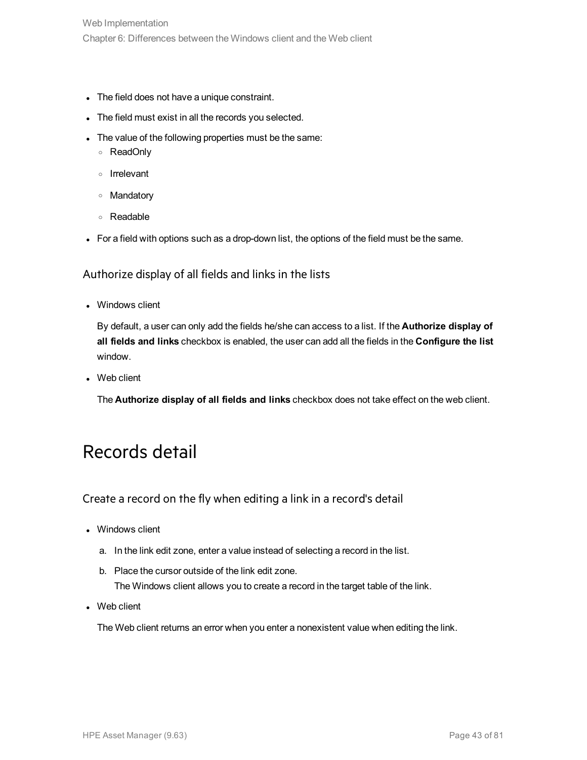- The field does not have a unique constraint.
- The field must exist in all the records you selected.
- The value of the following properties must be the same:
	- <sup>o</sup> ReadOnly
	- <sup>o</sup> Irrelevant
	- <sup>o</sup> Mandatory
	- <sup>o</sup> Readable
- For a field with options such as a drop-down list, the options of the field must be the same.

#### Authorize display of all fields and links in the lists

• Windows client

By default, a user can only add the fields he/she can access to a list. If the **Authorize display of all fields and links** checkbox is enabled, the user can add all the fields in the **Configure the list** window.

• Web client

The **Authorize display of all fields and links** checkbox does not take effect on the web client.

## Records detail

Create a record on the fly when editing a link in a record's detail

- Windows client
	- a. In the link edit zone, enter a value instead of selecting a record in the list.
	- b. Place the cursor outside of the link edit zone. The Windows client allows you to create a record in the target table of the link.
- Web client

The Web client returns an error when you enter a nonexistent value when editing the link.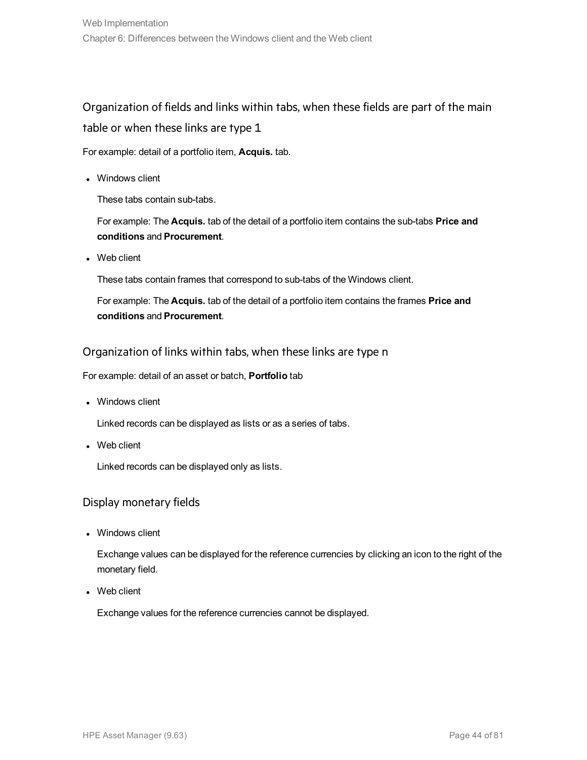Organization of fields and links within tabs, when these fields are part of the main table or when these links are type 1

For example: detail of a portfolio item, **Acquis.** tab.

• Windows client

These tabs contain sub-tabs.

For example: The **Acquis.** tab of the detail of a portfolio item contains the sub-tabs **Price and conditions** and **Procurement**.

• Web client

These tabs contain frames that correspond to sub-tabs of the Windows client.

For example: The **Acquis.** tab of the detail of a portfolio item contains the frames **Price and conditions** and **Procurement**.

#### Organization of links within tabs, when these links are type n

For example: detail of an asset or batch, **Portfolio** tab

• Windows client

Linked records can be displayed as lists or as a series of tabs.

 $\bullet$  Web client

Linked records can be displayed only as lists.

#### Display monetary fields

• Windows client

Exchange values can be displayed for the reference currencies by clicking an icon to the right of the monetary field.

• Web client

Exchange values for the reference currencies cannot be displayed.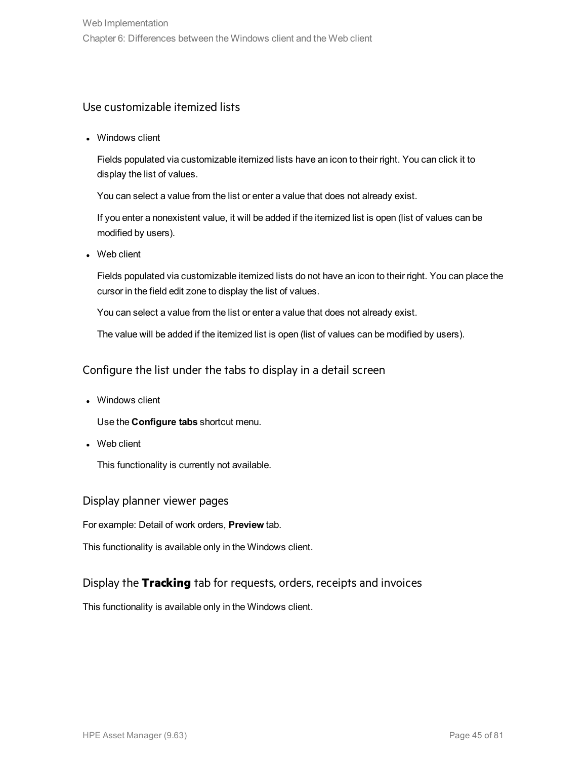### Use customizable itemized lists

• Windows client

Fields populated via customizable itemized lists have an icon to their right. You can click it to display the list of values.

You can select a value from the list or enter a value that does not already exist.

If you enter a nonexistent value, it will be added if the itemized list is open (list of values can be modified by users).

• Web client

Fields populated via customizable itemized lists do not have an icon to their right. You can place the cursor in the field edit zone to display the list of values.

You can select a value from the list or enter a value that does not already exist.

The value will be added if the itemized list is open (list of values can be modified by users).

#### Configure the list under the tabs to display in a detail screen

• Windows client

Use the **Configure tabs** shortcut menu.

 $\bullet$  Web client

This functionality is currently not available.

#### Display planner viewer pages

For example: Detail of work orders, **Preview** tab.

This functionality is available only in the Windows client.

### Display the **Tracking** tab for requests, orders, receipts and invoices

This functionality is available only in the Windows client.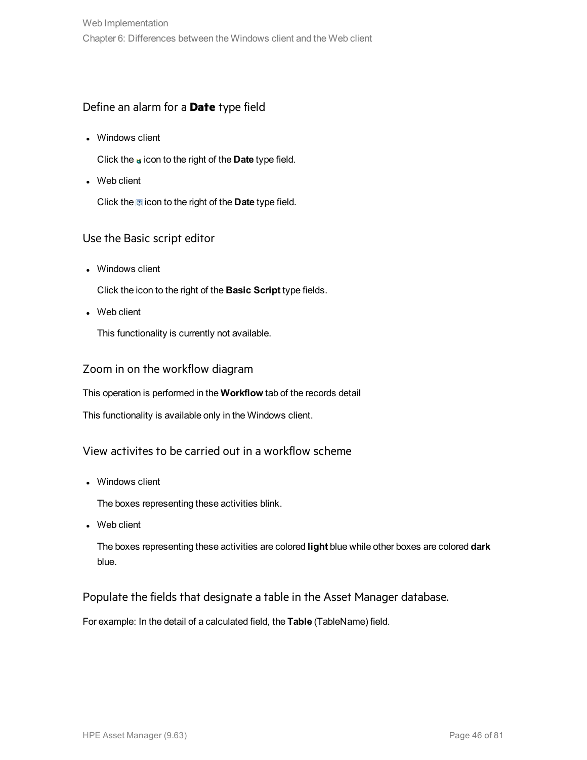#### Define an alarm for a **Date** type field

• Windows client

Click the icon to the right of the **Date** type field.

 $\bullet$  Web client

Click the **c** icon to the right of the **Date** type field.

#### Use the Basic script editor

• Windows client

Click the icon to the right of the **Basic Script** type fields.

• Web client

This functionality is currently not available.

#### Zoom in on the workflow diagram

This operation is performed in the **Workflow** tab of the records detail

This functionality is available only in the Windows client.

#### View activites to be carried out in a workflow scheme

• Windows client

The boxes representing these activities blink.

 $\bullet$  Web client

The boxes representing these activities are colored **light** blue while other boxes are colored **dark** blue.

#### Populate the fields that designate a table in the Asset Manager database.

For example: In the detail of a calculated field, the **Table** (TableName) field.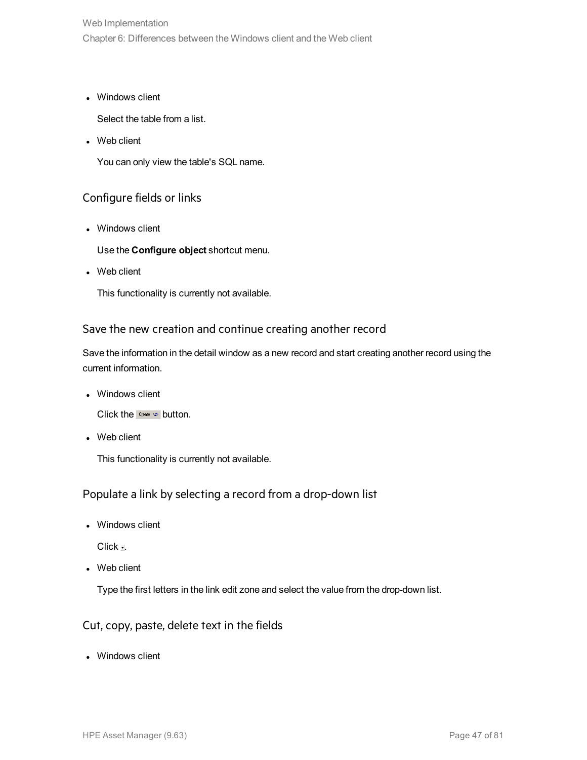Web Implementation

Chapter 6: Differences between the Windows client and the Web client

• Windows client

Select the table from a list.

• Web client

You can only view the table's SQL name.

#### Configure fields or links

• Windows client

Use the **Configure object** shortcut menu.

 $\bullet$  Web client

This functionality is currently not available.

#### Save the new creation and continue creating another record

Save the information in the detail window as a new record and start creating another record using the current information.

• Windows client

Click the  $C_1$ <sub>Create</sub>  $\infty$  button.

• Web client

This functionality is currently not available.

### Populate a link by selecting a record from a drop-down list

. Windows client

Click ...

• Web client

Type the first letters in the link edit zone and select the value from the drop-down list.

#### Cut, copy, paste, delete text in the fields

• Windows client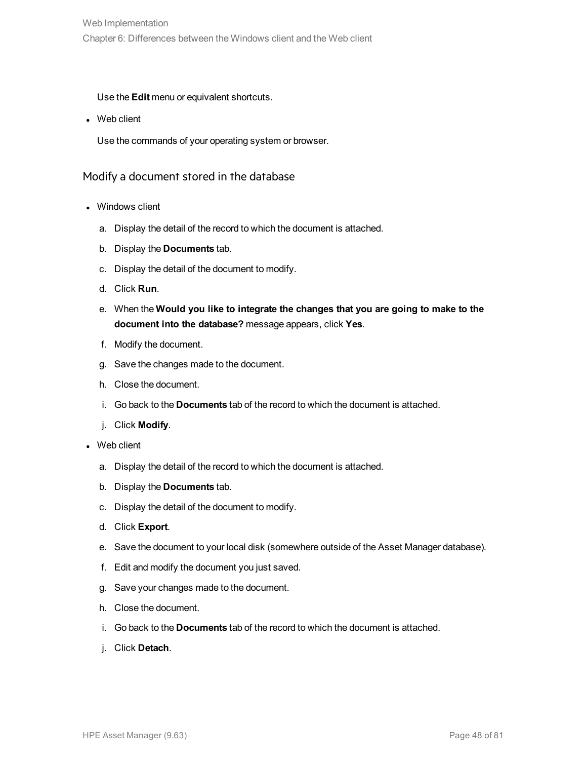Web Implementation

Chapter 6: Differences between the Windows client and the Web client

Use the **Edit** menu or equivalent shortcuts.

 $\bullet$  Web client

Use the commands of your operating system or browser.

#### Modify a document stored in the database

- Windows client
	- a. Display the detail of the record to which the document is attached.
	- b. Display the **Documents** tab.
	- c. Display the detail of the document to modify.
	- d. Click **Run**.
	- e. When the **Would you like to integrate the changes that you are going to make to the document into the database?** message appears, click **Yes**.
	- f. Modify the document.
	- g. Save the changes made to the document.
	- h. Close the document.
	- i. Go back to the **Documents** tab of the record to which the document is attached.
	- j. Click **Modify**.
- Web client
	- a. Display the detail of the record to which the document is attached.
	- b. Display the **Documents** tab.
	- c. Display the detail of the document to modify.
	- d. Click **Export**.
	- e. Save the document to your local disk (somewhere outside of the Asset Manager database).
	- f. Edit and modify the document you just saved.
	- g. Save your changes made to the document.
	- h. Close the document.
	- i. Go back to the **Documents** tab of the record to which the document is attached.
	- j. Click **Detach**.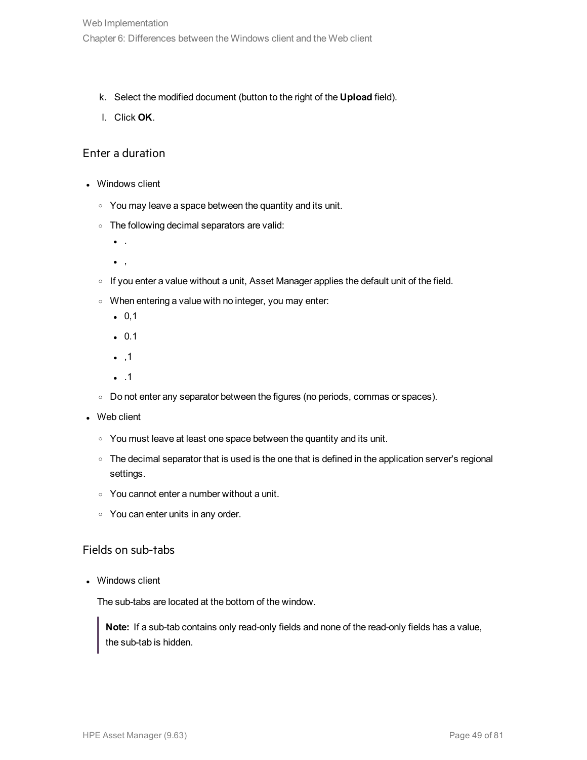- k. Select the modified document (button to the right of the **Upload** field).
- l. Click **OK**.

#### Enter a duration

- Windows client
	- $\circ$  You may leave a space between the quantity and its unit.
	- The following decimal separators are valid:
		- $\bullet$  .
		- $\bullet$
	- o If you enter a value without a unit, Asset Manager applies the default unit of the field.
	- <sup>o</sup> When entering a value with no integer, you may enter:
		- $.0,1$
		- $.0.1$
		- $\bullet$  ,1
		- $\cdot$  .1
	- o Do not enter any separator between the figures (no periods, commas or spaces).
- Web client
	- $\circ$  You must leave at least one space between the quantity and its unit.
	- o The decimal separator that is used is the one that is defined in the application server's regional settings.
	- <sup>o</sup> You cannot enter a number without a unit.
	- You can enter units in any order.

#### Fields on sub-tabs

• Windows client

The sub-tabs are located at the bottom of the window.

**Note:** If a sub-tab contains only read-only fields and none of the read-only fields has a value, the sub-tab is hidden.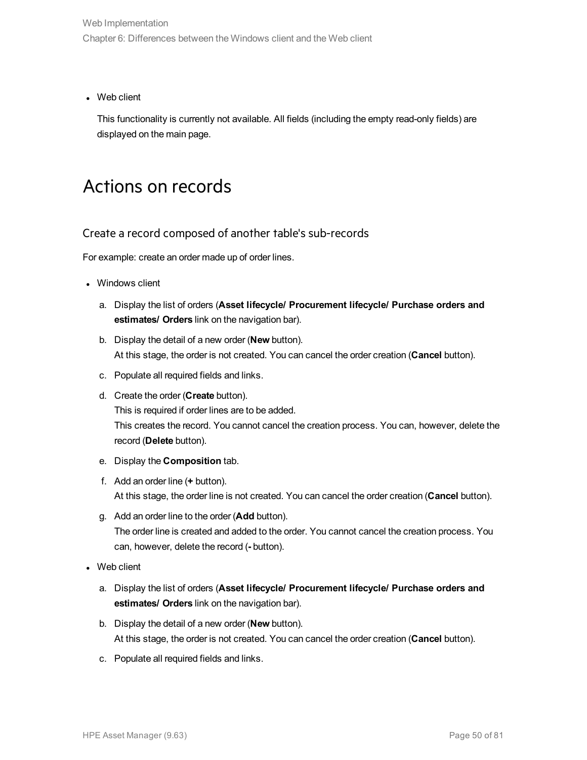. Web client

This functionality is currently not available. All fields (including the empty read-only fields) are displayed on the main page.

## Actions on records

Create a record composed of another table's sub-records

For example: create an order made up of order lines.

- Windows client
	- a. Display the list of orders (**Asset lifecycle/ Procurement lifecycle/ Purchase orders and estimates/ Orders** link on the navigation bar).
	- b. Display the detail of a new order (**New** button). At this stage, the order is not created. You can cancel the order creation (**Cancel** button).
	- c. Populate all required fields and links.
	- d. Create the order (**Create** button). This is required if order lines are to be added. This creates the record. You cannot cancel the creation process. You can, however, delete the record (**Delete** button).
	- e. Display the **Composition** tab.
	- f. Add an order line (**+** button). At this stage, the order line is not created. You can cancel the order creation (**Cancel** button).
	- g. Add an order line to the order (**Add** button). The order line is created and added to the order. You cannot cancel the creation process. You can, however, delete the record (**-** button).
- Web client
	- a. Display the list of orders (**Asset lifecycle/ Procurement lifecycle/ Purchase orders and estimates/ Orders** link on the navigation bar).
	- b. Display the detail of a new order (**New** button). At this stage, the order is not created. You can cancel the order creation (**Cancel** button).
	- c. Populate all required fields and links.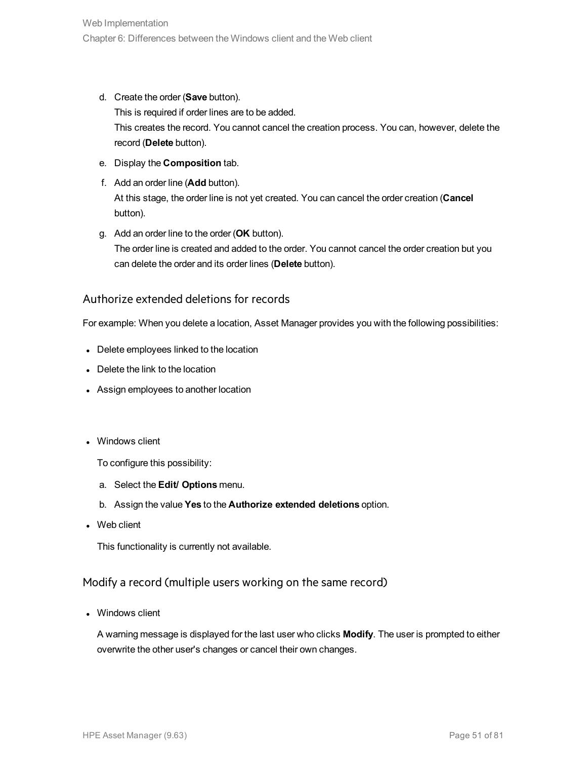d. Create the order (**Save** button).

This is required if order lines are to be added.

This creates the record. You cannot cancel the creation process. You can, however, delete the record (**Delete** button).

- e. Display the **Composition** tab.
- f. Add an order line (**Add** button). At this stage, the order line is not yet created. You can cancel the order creation (**Cancel** button).
- g. Add an order line to the order (**OK** button). The order line is created and added to the order. You cannot cancel the order creation but you can delete the order and its order lines (**Delete** button).

### Authorize extended deletions for records

For example: When you delete a location, Asset Manager provides you with the following possibilities:

- Delete employees linked to the location
- Delete the link to the location
- Assign employees to another location
- Windows client

To configure this possibility:

- a. Select the **Edit/ Options** menu.
- b. Assign the value **Yes** to the **Authorize extended deletions** option.
- . Web client

This functionality is currently not available.

### Modify a record (multiple users working on the same record)

• Windows client

A warning message is displayed for the last user who clicks **Modify**. The user is prompted to either overwrite the other user's changes or cancel their own changes.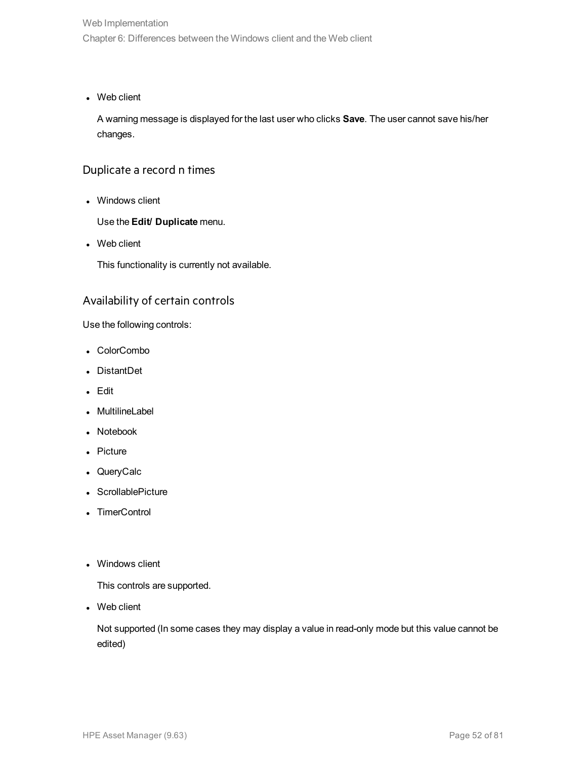Web Implementation Chapter 6: Differences between the Windows client and the Web client

• Web client

A warning message is displayed for the last user who clicks **Save**. The user cannot save his/her changes.

#### Duplicate a record n times

• Windows client

Use the **Edit/ Duplicate** menu.

• Web client

This functionality is currently not available.

#### Availability of certain controls

Use the following controls:

- ColorCombo
- DistantDet
- Edit
- MultilineLabel
- Notebook
- Picture
- QueryCalc
- ScrollablePicture
- TimerControl
- Windows client

This controls are supported.

• Web client

Not supported (In some cases they may display a value in read-only mode but this value cannot be edited)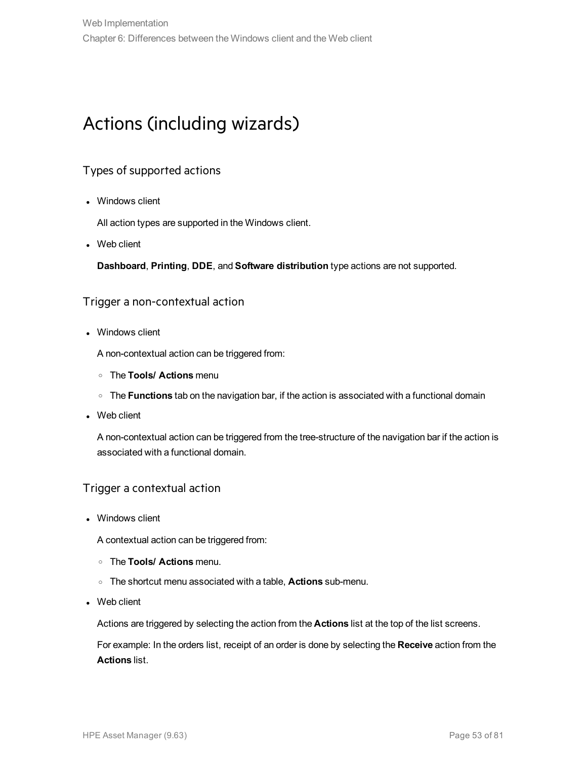# Actions (including wizards)

### Types of supported actions

• Windows client

All action types are supported in the Windows client.

 $\bullet$  Web client

**Dashboard**, **Printing**, **DDE**, and **Software distribution** type actions are not supported.

### Trigger a non-contextual action

• Windows client

A non-contextual action can be triggered from:

- <sup>o</sup> The **Tools/ Actions** menu
- <sup>o</sup> The **Functions** tab on the navigation bar, if the action is associated with a functional domain
- Web client

A non-contextual action can be triggered from the tree-structure of the navigation bar if the action is associated with a functional domain.

#### Trigger a contextual action

• Windows client

A contextual action can be triggered from:

- <sup>o</sup> The **Tools/ Actions** menu.
- <sup>o</sup> The shortcut menu associated with a table, **Actions** sub-menu.
- Web client

Actions are triggered by selecting the action from the **Actions** list at the top of the list screens.

For example: In the orders list, receipt of an order is done by selecting the **Receive** action from the **Actions** list.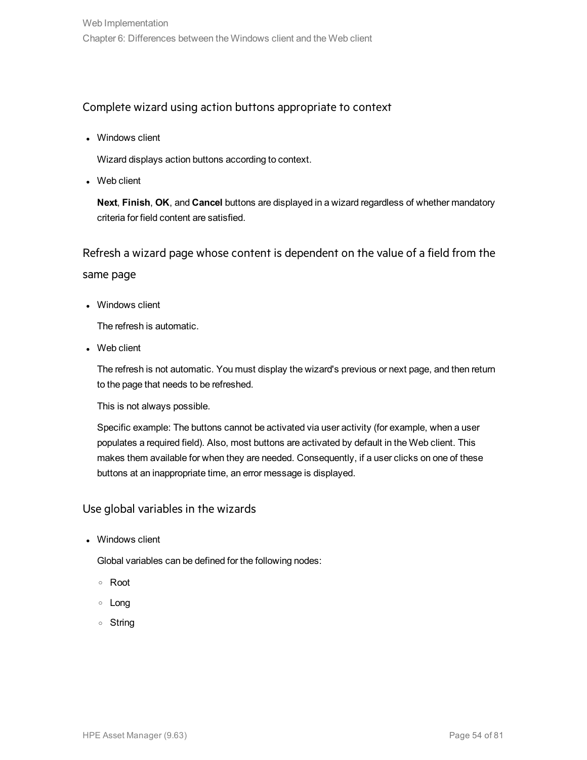### Complete wizard using action buttons appropriate to context

• Windows client

Wizard displays action buttons according to context.

 $\bullet$  Web client

**Next**, **Finish**, **OK**, and **Cancel** buttons are displayed in a wizard regardless of whether mandatory criteria for field content are satisfied.

Refresh a wizard page whose content is dependent on the value of a field from the same page

• Windows client

The refresh is automatic.

• Web client

The refresh is not automatic. You must display the wizard's previous or next page, and then return to the page that needs to be refreshed.

This is not always possible.

Specific example: The buttons cannot be activated via user activity (for example, when a user populates a required field). Also, most buttons are activated by default in the Web client. This makes them available for when they are needed. Consequently, if a user clicks on one of these buttons at an inappropriate time, an error message is displayed.

### Use global variables in the wizards

• Windows client

Global variables can be defined for the following nodes:

- <sup>o</sup> Root
- <sup>o</sup> Long
- <sup>o</sup> String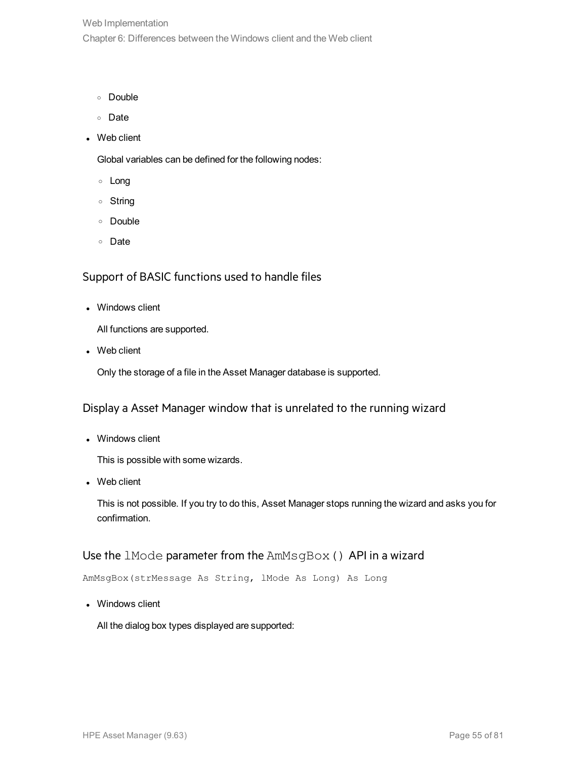Web Implementation

Chapter 6: Differences between the Windows client and the Web client

- <sup>o</sup> Double
- <sup>o</sup> Date
- Web client

Global variables can be defined for the following nodes:

- <sup>o</sup> Long
- <sup>o</sup> String
- <sup>o</sup> Double
- <sup>o</sup> Date

#### Support of BASIC functions used to handle files

• Windows client

All functions are supported.

. Web client

Only the storage of a file in the Asset Manager database is supported.

#### Display a Asset Manager window that is unrelated to the running wizard

• Windows client

This is possible with some wizards.

• Web client

This is not possible. If you try to do this, Asset Manager stops running the wizard and asks you for confirmation.

#### Use the lMode parameter from the AmMsgBox () API in a wizard

AmMsgBox(strMessage As String, lMode As Long) As Long

• Windows client

All the dialog box types displayed are supported: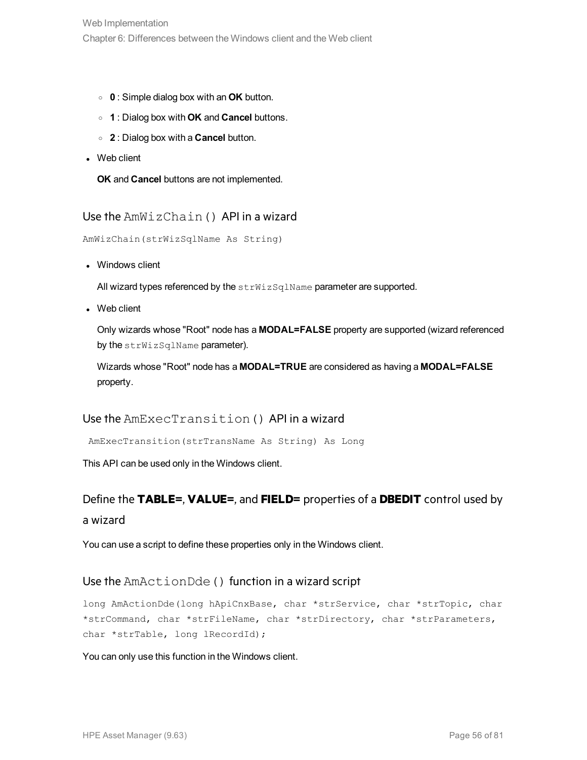Web Implementation Chapter 6: Differences between the Windows client and the Web client

- <sup>o</sup> **0** : Simple dialog box with an **OK** button.
- <sup>o</sup> **1** : Dialog box with **OK** and **Cancel** buttons.
- <sup>o</sup> **2** : Dialog box with a **Cancel** button.
- Web client

**OK** and **Cancel** buttons are not implemented.

Use the AmWizChain () API in a wizard

AmWizChain(strWizSqlName As String)

• Windows client

All wizard types referenced by the strWizSqlName parameter are supported.

• Web client

Only wizards whose "Root" node has a **MODAL=FALSE** property are supported (wizard referenced by the strWizSqlName parameter).

Wizards whose "Root" node has a **MODAL=TRUE** are considered as having a **MODAL=FALSE** property.

Use the AmExecTransition() API in a wizard

AmExecTransition(strTransName As String) As Long

This API can be used only in the Windows client.

## Define the **TABLE=**, **VALUE=**, and **FIELD=** properties of a **DBEDIT** control used by

#### a wizard

You can use a script to define these properties only in the Windows client.

#### Use the AmActionDde() function in a wizard script

long AmActionDde(long hApiCnxBase, char \*strService, char \*strTopic, char \*strCommand, char \*strFileName, char \*strDirectory, char \*strParameters, char \*strTable, long lRecordId);

#### You can only use this function in the Windows client.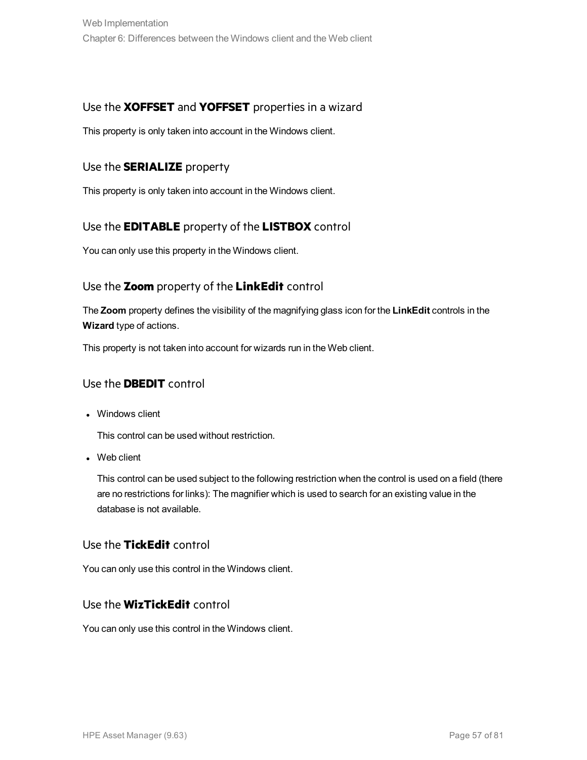### Use the **XOFFSET** and **YOFFSET** propertiesin a wizard

This property is only taken into account in the Windows client.

#### Use the **SERIALIZE** property

This property is only taken into account in the Windows client.

### Use the **EDITABLE** property of the **LISTBOX** control

You can only use this property in the Windows client.

### Use the **Zoom** property of the **LinkEdit** control

The **Zoom** property defines the visibility of the magnifying glass icon for the **LinkEdit** controls in the **Wizard** type of actions.

This property is not taken into account for wizards run in the Web client.

#### Use the **DBEDIT** control

. Windows client

This control can be used without restriction.

• Web client

This control can be used subject to the following restriction when the control is used on a field (there are no restrictions for links): The magnifier which is used to search for an existing value in the database is not available.

#### Use the **TickEdit** control

You can only use this control in the Windows client.

#### Use the **WizTickEdit** control

You can only use this control in the Windows client.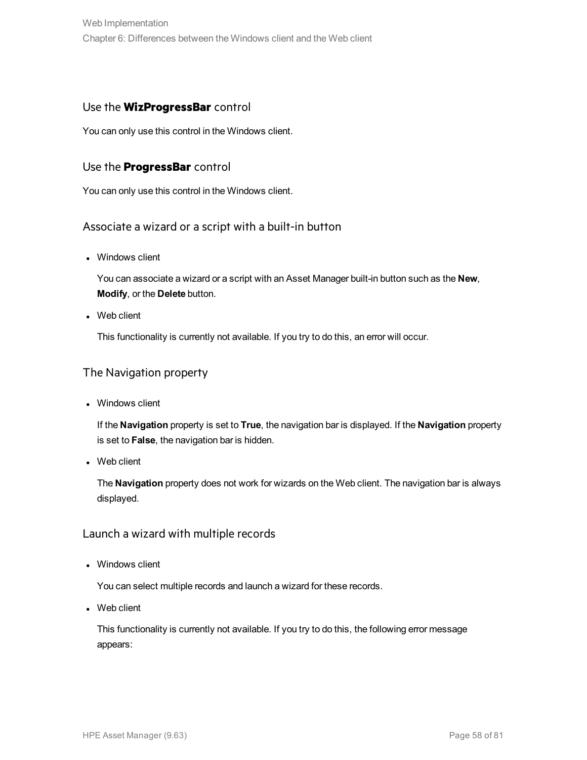#### Use the **WizProgressBar** control

You can only use this control in the Windows client.

#### Use the **ProgressBar** control

You can only use this control in the Windows client.

#### Associate a wizard or a script with a built-in button

• Windows client

You can associate a wizard or a script with an Asset Manager built-in button such as the **New**, **Modify**, or the **Delete** button.

• Web client

This functionality is currently not available. If you try to do this, an error will occur.

#### The Navigation property

. Windows client

If the **Navigation** property is set to **True**, the navigation bar is displayed. If the **Navigation** property is set to **False**, the navigation bar is hidden.

 $\bullet$  Web client

The **Navigation** property does not work for wizards on the Web client. The navigation bar is always displayed.

#### Launch a wizard with multiple records

• Windows client

You can select multiple records and launch a wizard for these records.

• Web client

This functionality is currently not available. If you try to do this, the following error message appears: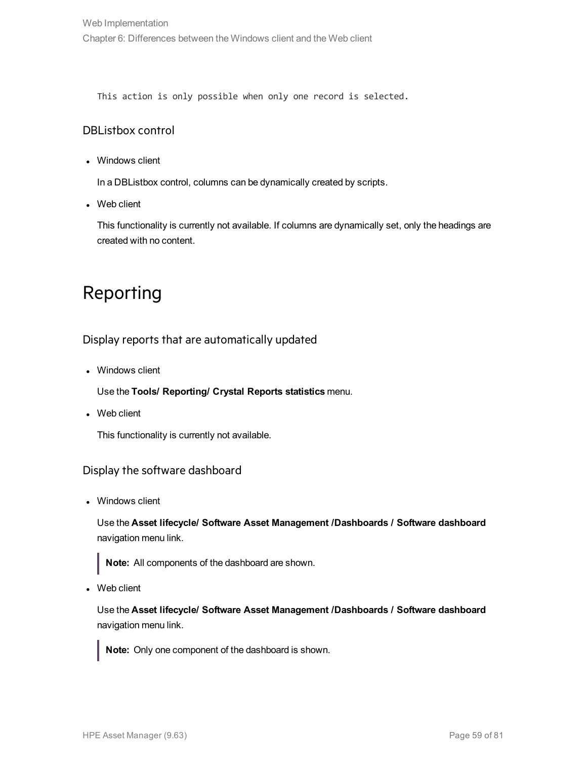This action is only possible when only one record is selected.

#### DBListbox control

• Windows client

In a DBListbox control, columns can be dynamically created by scripts.

• Web client

This functionality is currently not available. If columns are dynamically set, only the headings are created with no content.

# Reporting

#### Display reports that are automatically updated

• Windows client

Use the **Tools/ Reporting/ Crystal Reports statistics** menu.

• Web client

This functionality is currently not available.

### Display the software dashboard

• Windows client

Use the **Asset lifecycle/ Software Asset Management /Dashboards / Software dashboard** navigation menu link.

**Note:** All components of the dashboard are shown.

• Web client

Use the **Asset lifecycle/ Software Asset Management /Dashboards / Software dashboard** navigation menu link.

**Note:** Only one component of the dashboard is shown.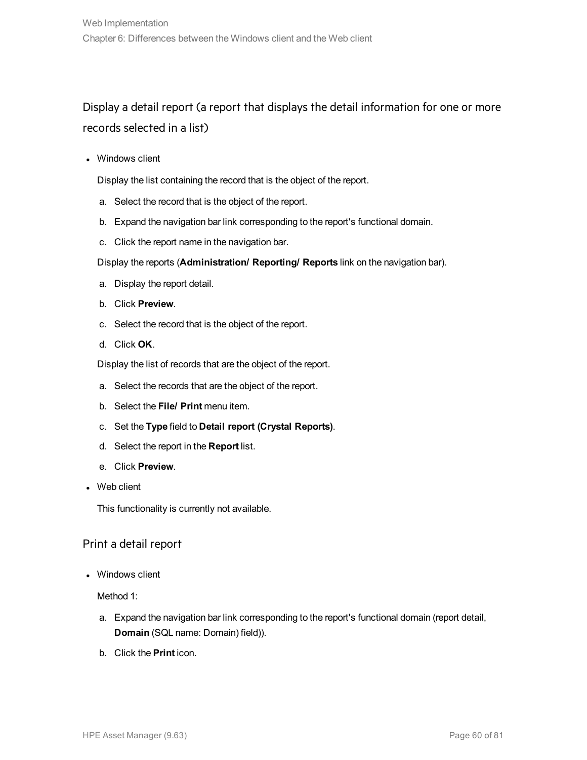## Display a detail report (a report that displays the detail information for one or more records selected in a list)

• Windows client

Display the list containing the record that is the object of the report.

- a. Select the record that is the object of the report.
- b. Expand the navigation bar link corresponding to the report's functional domain.
- c. Click the report name in the navigation bar.

#### Display the reports (**Administration/ Reporting/ Reports** link on the navigation bar).

- a. Display the report detail.
- b. Click **Preview**.
- c. Select the record that is the object of the report.
- d. Click **OK**.

Display the list of records that are the object of the report.

- a. Select the records that are the object of the report.
- b. Select the **File/ Print** menu item.
- c. Set the **Type** field to **Detail report (Crystal Reports)**.
- d. Select the report in the **Report** list.
- e. Click **Preview**.
- Web client

This functionality is currently not available.

#### Print a detail report

• Windows client

Method 1:

- a. Expand the navigation bar link corresponding to the report's functional domain (report detail, **Domain** (SQL name: Domain) field)).
- b. Click the **Print** icon.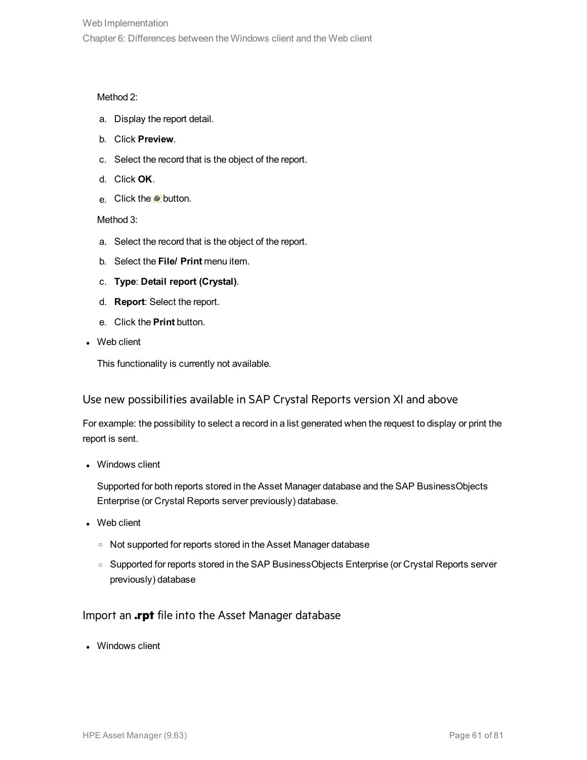#### Method 2:

- a. Display the report detail.
- b. Click **Preview**.
- c. Select the record that is the object of the report.
- d. Click **OK**.
- e. Click the  $\triangleq$  button.

#### Method 3:

- a. Select the record that is the object of the report.
- b. Select the **File/ Print** menu item.
- c. **Type**: **Detail report (Crystal)**.
- d. **Report**: Select the report.
- e. Click the **Print** button.
- Web client

This functionality is currently not available.

#### Use new possibilities available in SAP Crystal Reports version XI and above

For example: the possibility to select a record in a list generated when the request to display or print the report is sent.

• Windows client

Supported for both reports stored in the Asset Manager database and the SAP BusinessObjects Enterprise (or Crystal Reports server previously) database.

- Web client
	- o Not supported for reports stored in the Asset Manager database
	- Supported for reports stored in the SAP BusinessObjects Enterprise (or Crystal Reports server previously) database

#### Import an **.rpt** file into the Asset Manager database

• Windows client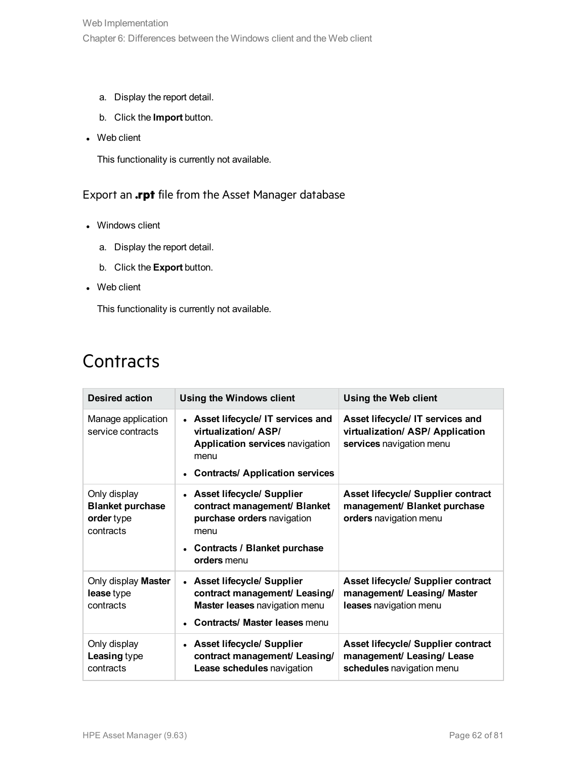- a. Display the report detail.
- b. Click the **Import** button.
- Web client

This functionality is currently not available.

### Export an **.rpt** file from the Asset Manager database

- Windows client
	- a. Display the report detail.
	- b. Click the **Export** button.
- Web client

This functionality is currently not available.

## **Contracts**

| <b>Desired action</b>                                              | <b>Using the Windows client</b>                                                                                                                         | <b>Using the Web client</b>                                                                         |
|--------------------------------------------------------------------|---------------------------------------------------------------------------------------------------------------------------------------------------------|-----------------------------------------------------------------------------------------------------|
| Manage application<br>service contracts                            | • Asset lifecycle/ IT services and<br>virtualization/ ASP/<br>Application services navigation<br>menu<br><b>Contracts/ Application services</b>         | Asset lifecycle/ IT services and<br>virtualization/ ASP/ Application<br>services navigation menu    |
| Only display<br><b>Blanket purchase</b><br>order type<br>contracts | • Asset lifecycle/ Supplier<br>contract management/ Blanket<br>purchase orders navigation<br>menu<br><b>Contracts / Blanket purchase</b><br>orders menu | <b>Asset lifecycle/ Supplier contract</b><br>management/ Blanket purchase<br>orders navigation menu |
| Only display Master<br>lease type<br>contracts                     | • Asset lifecycle/ Supplier<br>contract management/ Leasing/<br><b>Master leases navigation menu</b><br><b>Contracts/ Master leases menully</b>         | Asset lifecycle/ Supplier contract<br>management/ Leasing/ Master<br>leases navigation menu         |
| Only display<br><b>Leasing type</b><br>contracts                   | <b>Asset lifecycle/ Supplier</b><br>contract management/ Leasing/<br>Lease schedules navigation                                                         | Asset lifecycle/ Supplier contract<br>management/ Leasing/ Lease<br>schedules navigation menu       |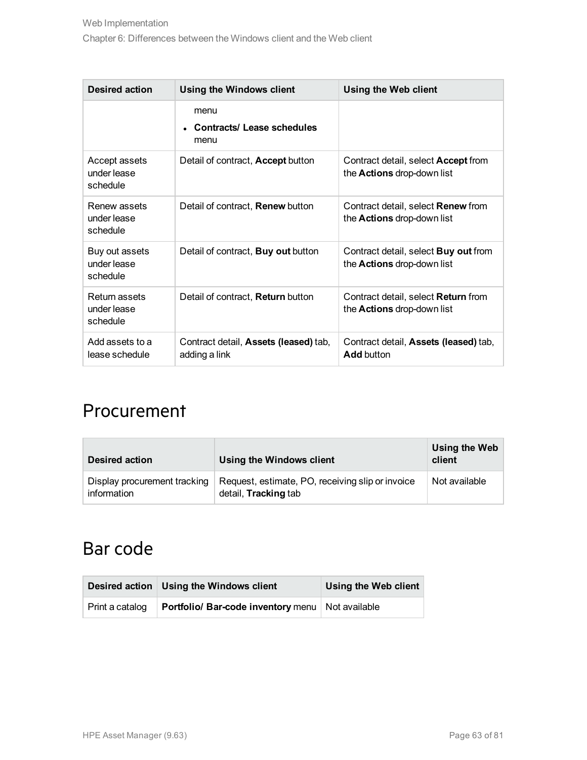| <b>Desired action</b>                     | <b>Using the Windows client</b>                        | <b>Using the Web client</b>                                                     |
|-------------------------------------------|--------------------------------------------------------|---------------------------------------------------------------------------------|
|                                           | menu<br>• Contracts/ Lease schedules<br>menu           |                                                                                 |
| Accept assets<br>under lease<br>schedule  | Detail of contract, <b>Accept</b> button               | Contract detail, select <b>Accept</b> from<br>the <b>Actions</b> drop-down list |
| Renew assets<br>under lease<br>schedule   | Detail of contract, <b>Renew</b> button                | Contract detail, select <b>Renew</b> from<br>the <b>Actions</b> drop-down list  |
| Buy out assets<br>under lease<br>schedule | Detail of contract, <b>Buy out</b> button              | Contract detail, select Buy out from<br>the <b>Actions</b> drop-down list       |
| Return assets<br>under lease<br>schedule  | Detail of contract, Return button                      | Contract detail, select Return from<br>the <b>Actions</b> drop-down list        |
| Add assets to a<br>lease schedule         | Contract detail, Assets (leased) tab,<br>adding a link | Contract detail, Assets (leased) tab,<br><b>Add button</b>                      |

# Procurement

| <b>Desired action</b>                       | Using the Windows client                                                        | Using the Web<br>client |
|---------------------------------------------|---------------------------------------------------------------------------------|-------------------------|
| Display procurement tracking<br>information | Request, estimate, PO, receiving slip or invoice<br>detail, <b>Tracking</b> tab | Not available           |

# Bar code

|                 | Desired action   Using the Windows client        | Using the Web client |
|-----------------|--------------------------------------------------|----------------------|
| Print a catalog | Portfolio/ Bar-code inventory menu Not available |                      |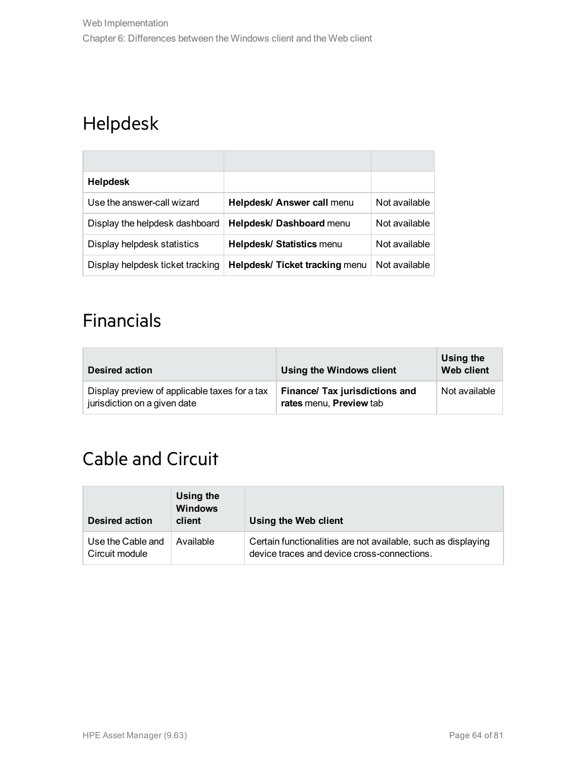# Helpdesk

| <b>Helpdesk</b>                  |                                |               |
|----------------------------------|--------------------------------|---------------|
| Use the answer-call wizard       | Helpdesk/ Answer call menu     | Not available |
| Display the helpdesk dashboard   | Helpdesk/ Dashboard menu       | Not available |
| Display helpdesk statistics      | Helpdesk/ Statistics menu      | Not available |
| Display helpdesk ticket tracking | Helpdesk/ Ticket tracking menu | Not available |

# Financials

| <b>Desired action</b>                                                         | <b>Using the Windows client</b>                           | Using the<br><b>Web client</b> |
|-------------------------------------------------------------------------------|-----------------------------------------------------------|--------------------------------|
| Display preview of applicable taxes for a tax<br>jurisdiction on a given date | Finance/ Tax jurisdictions and<br>rates menu, Preview tab | Not available                  |

# Cable and Circuit

| <b>Desired action</b>               | Using the<br><b>Windows</b><br>client | Using the Web client                                                                                         |
|-------------------------------------|---------------------------------------|--------------------------------------------------------------------------------------------------------------|
| Use the Cable and<br>Circuit module | Available                             | Certain functionalities are not available, such as displaying<br>device traces and device cross-connections. |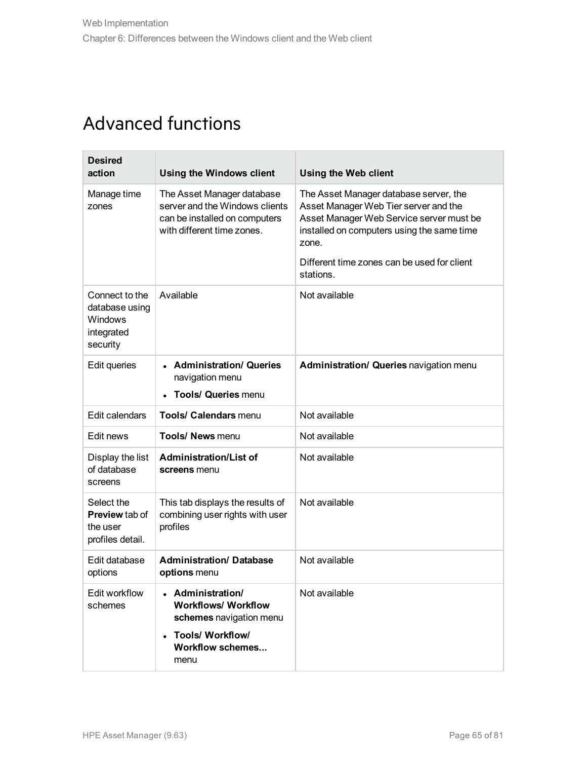# Advanced functions

| <b>Desired</b><br>action                                              | <b>Using the Windows client</b>                                                                                                               | <b>Using the Web client</b>                                                                                                                                                                                                                    |
|-----------------------------------------------------------------------|-----------------------------------------------------------------------------------------------------------------------------------------------|------------------------------------------------------------------------------------------------------------------------------------------------------------------------------------------------------------------------------------------------|
| Manage time<br>zones                                                  | The Asset Manager database<br>server and the Windows clients<br>can be installed on computers<br>with different time zones.                   | The Asset Manager database server, the<br>Asset Manager Web Tier server and the<br>Asset Manager Web Service server must be<br>installed on computers using the same time<br>zone.<br>Different time zones can be used for client<br>stations. |
| Connect to the<br>database using<br>Windows<br>integrated<br>security | Available                                                                                                                                     | Not available                                                                                                                                                                                                                                  |
| Edit queries                                                          | <b>Administration/ Queries</b><br>navigation menu<br><b>Tools/ Queries menu</b>                                                               | Administration/ Queries navigation menu                                                                                                                                                                                                        |
| Edit calendars                                                        | <b>Tools/ Calendars menu</b>                                                                                                                  | Not available                                                                                                                                                                                                                                  |
| Edit news                                                             | <b>Tools/ News menu</b>                                                                                                                       | Not available                                                                                                                                                                                                                                  |
| Display the list<br>of database<br>screens                            | <b>Administration/List of</b><br>screens menu                                                                                                 | Not available                                                                                                                                                                                                                                  |
| Select the<br><b>Preview tab of</b><br>the user<br>profiles detail.   | This tab displays the results of<br>combining user rights with user<br>profiles                                                               | Not available                                                                                                                                                                                                                                  |
| Edit database<br>options                                              | <b>Administration/ Database</b><br>options menu                                                                                               | Not available                                                                                                                                                                                                                                  |
| Edit workflow<br>schemes                                              | <b>Administration/</b><br><b>Workflows/ Workflow</b><br>schemes navigation menu<br><b>Tools/ Workflow/</b><br><b>Workflow schemes</b><br>menu | Not available                                                                                                                                                                                                                                  |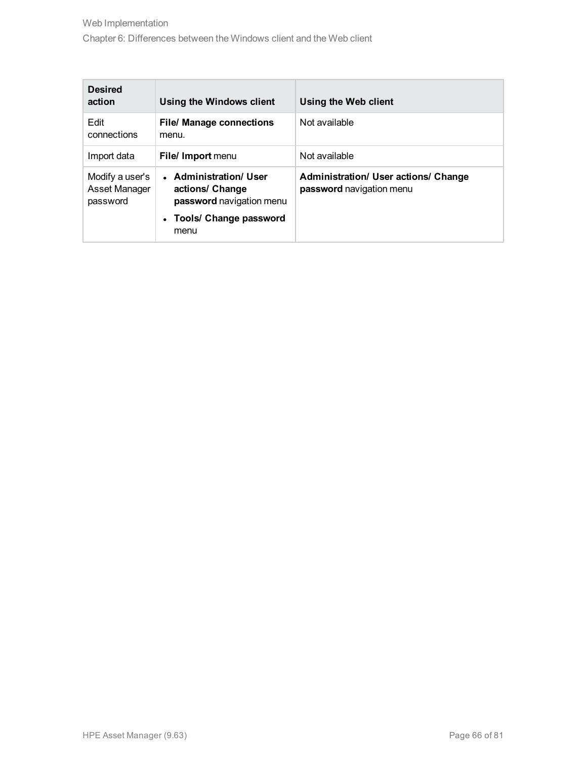Web Implementation Chapter 6: Differences between the Windows client and the Web client

| <b>Desired</b><br>action                     | Using the Windows client                                                                                                    | <b>Using the Web client</b>                                             |
|----------------------------------------------|-----------------------------------------------------------------------------------------------------------------------------|-------------------------------------------------------------------------|
| Edit<br>connections                          | File/ Manage connections<br>menu.                                                                                           | Not available                                                           |
| Import data                                  | File/ Import menu                                                                                                           | Not available                                                           |
| Modify a user's<br>Asset Manager<br>password | • Administration/ User<br>actions/ Change<br>password navigation menu<br><b>Tools/ Change password</b><br>$\bullet$<br>menu | <b>Administration/ User actions/ Change</b><br>password navigation menu |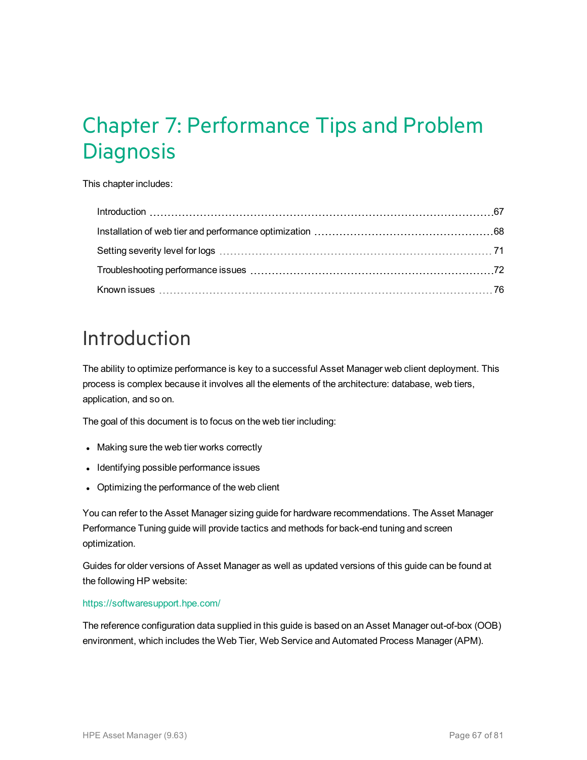# Chapter 7: Performance Tips and Problem **Diagnosis**

This chapter includes:

# <span id="page-66-0"></span>**Introduction**

The ability to optimize performance is key to a successful Asset Manager web client deployment. This process is complex because it involves all the elements of the architecture: database, web tiers, application, and so on.

The goal of this document is to focus on the web tier including:

- Making sure the web tier works correctly
- Identifying possible performance issues
- Optimizing the performance of the web client

You can refer to the Asset Manager sizing guide for hardware recommendations. The Asset Manager Performance Tuning guide will provide tactics and methods for back-end tuning and screen optimization.

Guides for older versions of Asset Manager as well as updated versions of this guide can be found at the following HP website:

#### <https://softwaresupport.hpe.com/>

The reference configuration data supplied in this guide is based on an Asset Manager out-of-box (OOB) environment, which includes the Web Tier, Web Service and Automated Process Manager (APM).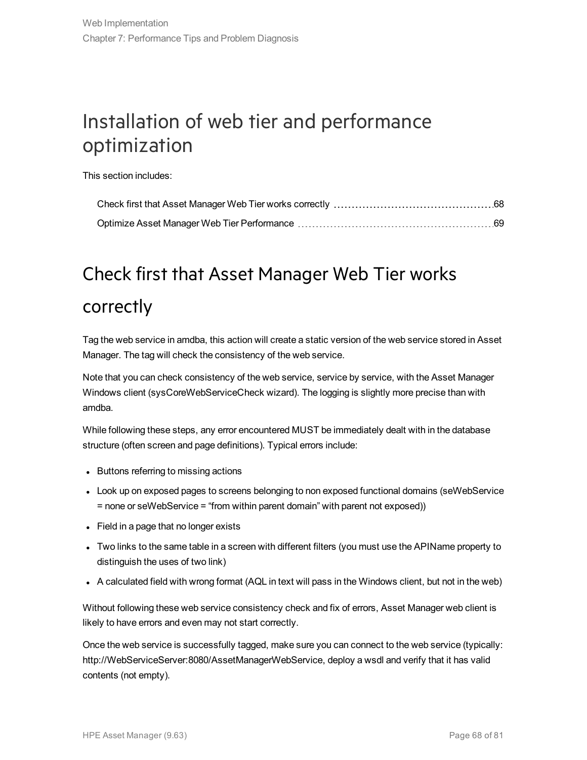# <span id="page-67-0"></span>Installation of web tier and performance optimization

This section includes:

<span id="page-67-1"></span>

# Check first that Asset Manager Web Tier works correctly

Tag the web service in amdba, this action will create a static version of the web service stored in Asset Manager. The tag will check the consistency of the web service.

Note that you can check consistency of the web service, service by service, with the Asset Manager Windows client (sysCoreWebServiceCheck wizard). The logging is slightly more precise than with amdba.

While following these steps, any error encountered MUST be immediately dealt with in the database structure (often screen and page definitions). Typical errors include:

- Buttons referring to missing actions
- Look up on exposed pages to screens belonging to non exposed functional domains (seWebService = none or seWebService = "from within parent domain" with parent not exposed))
- Field in a page that no longer exists
- Two links to the same table in a screen with different filters (you must use the APIName property to distinguish the uses of two link)
- A calculated field with wrong format (AQL in text will pass in the Windows client, but not in the web)

Without following these web service consistency check and fix of errors, Asset Manager web client is likely to have errors and even may not start correctly.

Once the web service is successfully tagged, make sure you can connect to the web service (typically: http://WebServiceServer:8080/AssetManagerWebService, deploy a wsdl and verify that it has valid contents (not empty).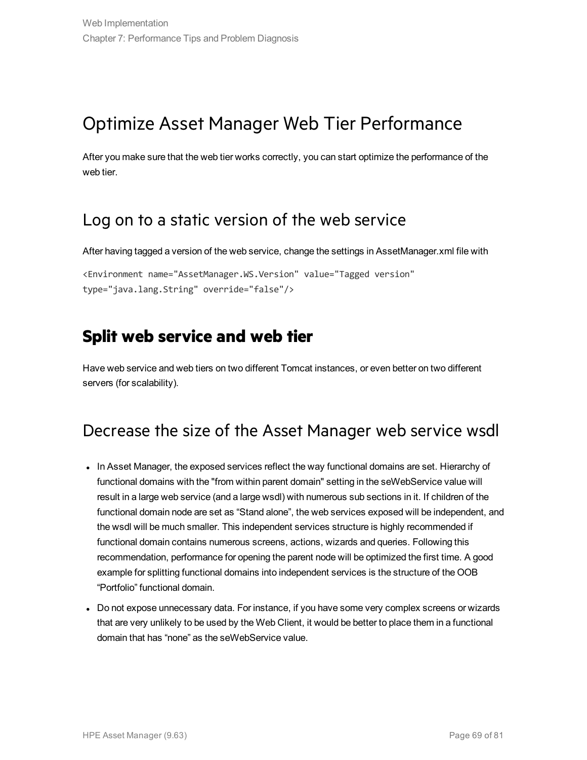## <span id="page-68-0"></span>Optimize Asset Manager Web Tier Performance

After you make sure that the web tier works correctly, you can start optimize the performance of the web tier.

## Log on to a static version of the web service

After having tagged a version of the web service, change the settings in AssetManager.xml file with

```
<Environment name="AssetManager.WS.Version" value="Tagged version"
type="java.lang.String" override="false"/>
```
## **Split web service and web tier**

Have web service and web tiers on two different Tomcat instances, or even better on two different servers (for scalability).

## Decrease the size of the Asset Manager web service wsdl

- In Asset Manager, the exposed services reflect the way functional domains are set. Hierarchy of functional domains with the "from within parent domain" setting in the seWebService value will result in a large web service (and a large wsdl) with numerous sub sections in it. If children of the functional domain node are set as "Stand alone", the web services exposed will be independent, and the wsdl will be much smaller. This independent services structure is highly recommended if functional domain contains numerous screens, actions, wizards and queries. Following this recommendation, performance for opening the parent node will be optimized the first time. A good example for splitting functional domains into independent services is the structure of the OOB "Portfolio" functional domain.
- Do not expose unnecessary data. For instance, if you have some very complex screens or wizards that are very unlikely to be used by the Web Client, it would be better to place them in a functional domain that has "none" as the seWebService value.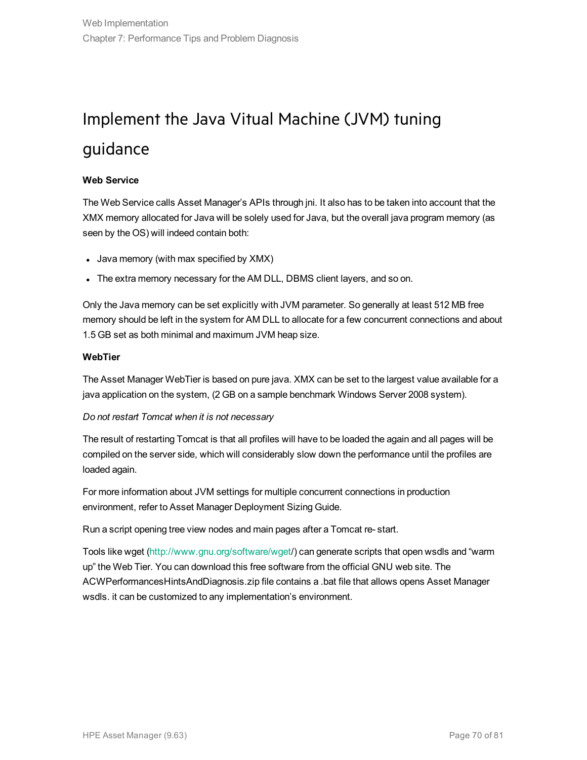# Implement the Java Vitual Machine (JVM) tuning guidance

#### **Web Service**

The Web Service calls Asset Manager's APIs through jni. It also has to be taken into account that the XMX memory allocated for Java will be solely used for Java, but the overall java program memory (as seen by the OS) will indeed contain both:

- Java memory (with max specified by XMX)
- The extra memory necessary for the AM DLL, DBMS client layers, and so on.

Only the Java memory can be set explicitly with JVM parameter. So generally at least 512 MB free memory should be left in the system for AM DLL to allocate for a few concurrent connections and about 1.5 GB set as both minimal and maximum JVM heap size.

#### **WebTier**

The Asset Manager WebTier is based on pure java. XMX can be set to the largest value available for a java application on the system, (2 GB on a sample benchmark Windows Server 2008 system).

#### *Do not restart Tomcat when it is not necessary*

The result of restarting Tomcat is that all profiles will have to be loaded the again and all pages will be compiled on the server side, which will considerably slow down the performance until the profiles are loaded again.

For more information about JVM settings for multiple concurrent connections in production environment, refer to Asset Manager Deployment Sizing Guide.

Run a script opening tree view nodes and main pages after a Tomcat re- start.

Tools like wget [\(http://www.gnu.org/software/wget/](http://www.gnu.org/software/wget)) can generate scripts that open wsdls and "warm up" the Web Tier. You can download this free software from the official GNU web site. The ACWPerformancesHintsAndDiagnosis.zip file contains a .bat file that allows opens Asset Manager wsdls. it can be customized to any implementation's environment.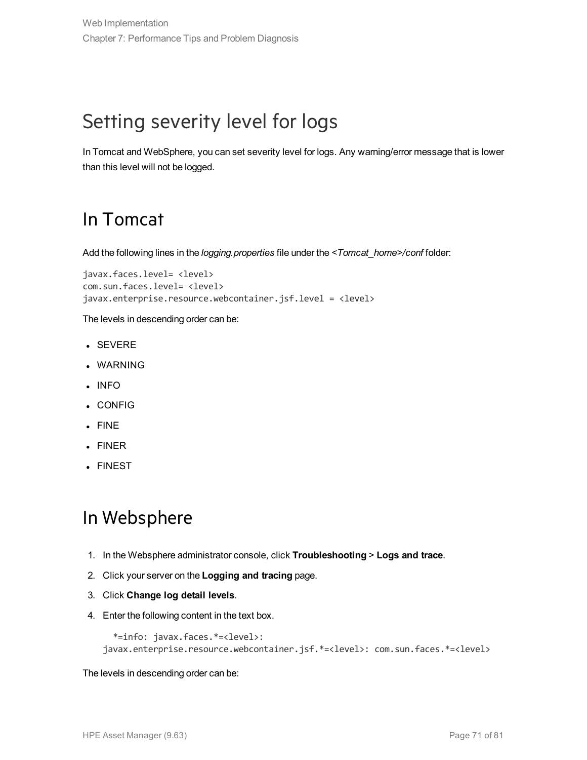# <span id="page-70-0"></span>Setting severity level for logs

In Tomcat and WebSphere, you can set severity level for logs. Any warning/error message that is lower than this level will not be logged.

## In Tomcat

Add the following lines in the *logging.properties* file under the *<Tomcat\_home>/conf* folder:

javax.faces.level= <level> com.sun.faces.level= <level> javax.enterprise.resource.webcontainer.jsf.level = <level>

The levels in descending order can be:

- SEVERE
- WARNING
- INFO
- <sup>l</sup> CONFIG
- $\blacksquare$ FINE
- **.** FINER
- FINEST

## In Websphere

- 1. In the Websphere administrator console, click **Troubleshooting** > **Logs and trace**.
- 2. Click your server on the **Logging and tracing** page.
- 3. Click **Change log detail levels**.
- 4. Enter the following content in the text box.

```
*=info: javax.faces.*=<level>:
javax.enterprise.resource.webcontainer.jsf.*=<level>: com.sun.faces.*=<level>
```
The levels in descending order can be: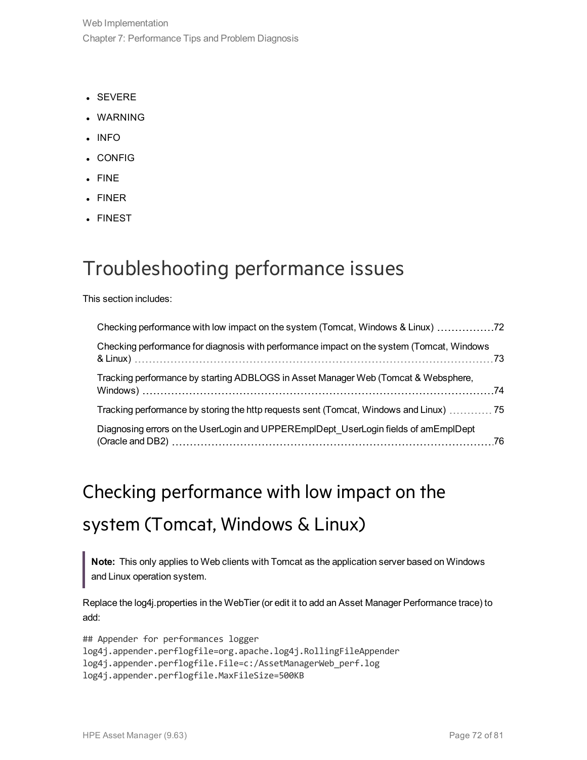Web Implementation Chapter 7: Performance Tips and Problem Diagnosis

- SEVERE
- **.** WARNING
- INFO
- <sup>l</sup> CONFIG
- . FINE
- **.** FINER
- FINEST

# <span id="page-71-0"></span>Troubleshooting performance issues

This section includes:

| Checking performance with low impact on the system (Tomcat, Windows & Linux)              |  |
|-------------------------------------------------------------------------------------------|--|
| Checking performance for diagnosis with performance impact on the system (Tomcat, Windows |  |
| Tracking performance by starting ADBLOGS in Asset Manager Web (Tomcat & Websphere,        |  |
| Tracking performance by storing the http requests sent (Tomcat, Windows and Linux)  75    |  |
| Diagnosing errors on the UserLogin and UPPEREmplDept UserLogin fields of amEmplDept       |  |

# <span id="page-71-1"></span>Checking performance with low impact on the system (Tomcat, Windows & Linux)

**Note:** This only applies to Web clients with Tomcat as the application server based on Windows and Linux operation system.

Replace the log4j.properties in the WebTier (or edit it to add an Asset Manager Performance trace) to add:

```
## Appender for performances logger
log4j.appender.perflogfile=org.apache.log4j.RollingFileAppender
log4j.appender.perflogfile.File=c:/AssetManagerWeb_perf.log
log4j.appender.perflogfile.MaxFileSize=500KB
```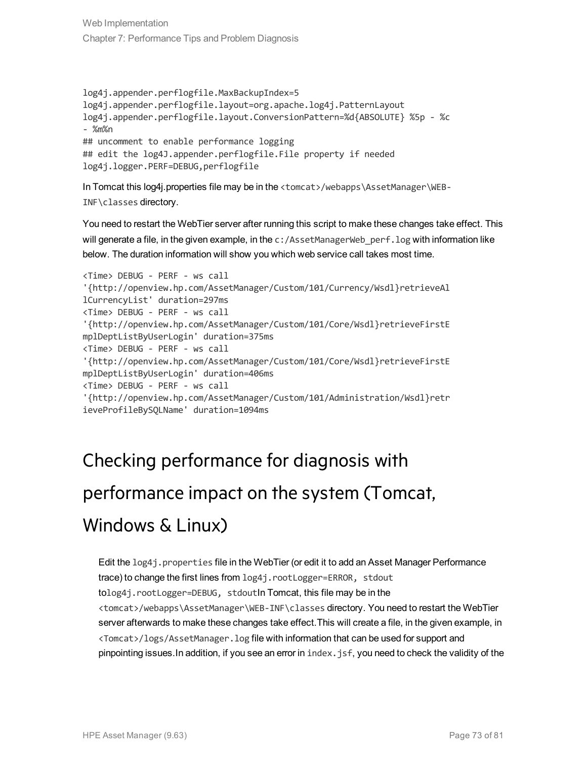Web Implementation Chapter 7: Performance Tips and Problem Diagnosis

log4j.appender.perflogfile.MaxBackupIndex=5 log4j.appender.perflogfile.layout=org.apache.log4j.PatternLayout log4j.appender.perflogfile.layout.ConversionPattern=%d{ABSOLUTE} %5p - %c - %m%n ## uncomment to enable performance logging ## edit the log4J.appender.perflogfile.File property if needed log4j.logger.PERF=DEBUG,perflogfile

In Tomcat this log4j.properties file may be in the <tomcat>/webapps\AssetManager\WEB-INF\classes directory.

You need to restart the WebTier server after running this script to make these changes take effect. This will generate a file, in the given example, in the c:/AssetManagerWeb\_perf.log with information like below. The duration information will show you which web service call takes most time.

```
<Time> DEBUG - PERF - ws call
'{http://openview.hp.com/AssetManager/Custom/101/Currency/Wsdl}retrieveAl
lCurrencyList' duration=297ms
<Time> DEBUG - PERF - ws call
'{http://openview.hp.com/AssetManager/Custom/101/Core/Wsdl}retrieveFirstE
mplDeptListByUserLogin' duration=375ms
<Time> DEBUG - PERF - ws call
'{http://openview.hp.com/AssetManager/Custom/101/Core/Wsdl}retrieveFirstE
mplDeptListByUserLogin' duration=406ms
<Time> DEBUG - PERF - ws call
'{http://openview.hp.com/AssetManager/Custom/101/Administration/Wsdl}retr
ieveProfileBySQLName' duration=1094ms
```
# Checking performance for diagnosis with performance impact on the system (Tomcat, Windows & Linux)

Edit the log4j.properties file in the WebTier (or edit it to add an Asset Manager Performance trace) to change the first lines from  $log4j$ . rootLogger=ERROR, stdout tolog4j.rootLogger=DEBUG, stdoutIn Tomcat, this file may be in the <tomcat>/webapps\AssetManager\WEB-INF\classes directory. You need to restart the WebTier server afterwards to make these changes take effect.This will create a file, in the given example, in <Tomcat>/logs/AssetManager.log file with information that can be used for support and pinpointing issues. In addition, if you see an error in index. jsf, you need to check the validity of the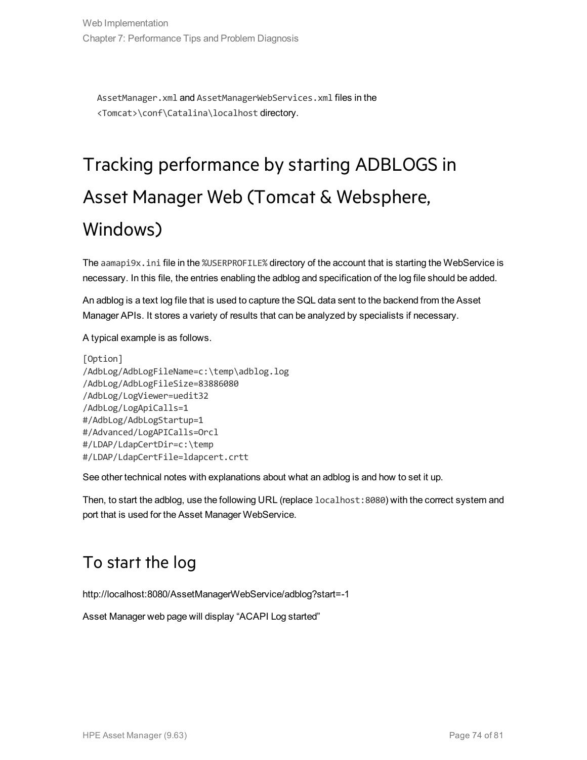AssetManager.xml and AssetManagerWebServices.xml files in the <Tomcat>\conf\Catalina\localhost directory.

## Tracking performance by starting ADBLOGS in Asset Manager Web (Tomcat & Websphere, Windows)

The aamapi9x.ini file in the %USERPROFILE% directory of the account that is starting the WebService is necessary. In this file, the entries enabling the adblog and specification of the log file should be added.

An adblog is a text log file that is used to capture the SQL data sent to the backend from the Asset Manager APIs. It stores a variety of results that can be analyzed by specialists if necessary.

A typical example is as follows.

```
[Option]
/AdbLog/AdbLogFileName=c:\temp\adblog.log
/AdbLog/AdbLogFileSize=83886080
/AdbLog/LogViewer=uedit32
/AdbLog/LogApiCalls=1
#/AdbLog/AdbLogStartup=1
#/Advanced/LogAPICalls=Orcl
#/LDAP/LdapCertDir=c:\temp
#/LDAP/LdapCertFile=ldapcert.crtt
```
See other technical notes with explanations about what an adblog is and how to set it up.

Then, to start the adblog, use the following URL (replace localhost:8080) with the correct system and port that is used for the Asset Manager WebService.

### To start the log

http://localhost:8080/AssetManagerWebService/adblog?start=-1

Asset Manager web page will display "ACAPI Log started"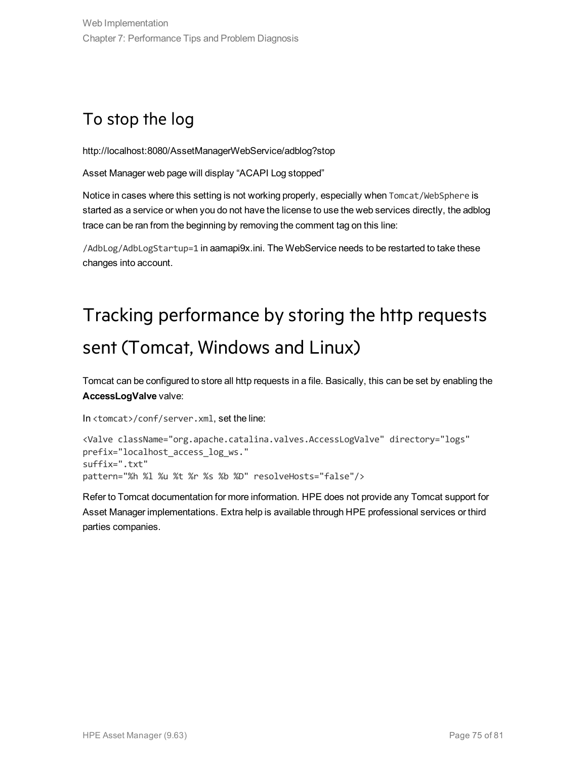## To stop the log

http://localhost:8080/AssetManagerWebService/adblog?stop

Asset Manager web page will display "ACAPI Log stopped"

Notice in cases where this setting is not working properly, especially when Tomcat/WebSphere is started as a service or when you do not have the license to use the web services directly, the adblog trace can be ran from the beginning by removing the comment tag on this line:

/AdbLog/AdbLogStartup=1 in aamapi9x.ini. The WebService needs to be restarted to take these changes into account.

## Tracking performance by storing the http requests sent (Tomcat, Windows and Linux)

Tomcat can be configured to store all http requests in a file. Basically, this can be set by enabling the **AccessLogValve** valve:

In <tomcat>/conf/server.xml, set the line:

<Valve className="org.apache.catalina.valves.AccessLogValve" directory="logs" prefix="localhost access log ws." suffix=".txt" pattern="%h %l %u %t %r %s %b %D" resolveHosts="false"/>

Refer to Tomcat documentation for more information. HPE does not provide any Tomcat support for Asset Manager implementations. Extra help is available through HPE professional services or third parties companies.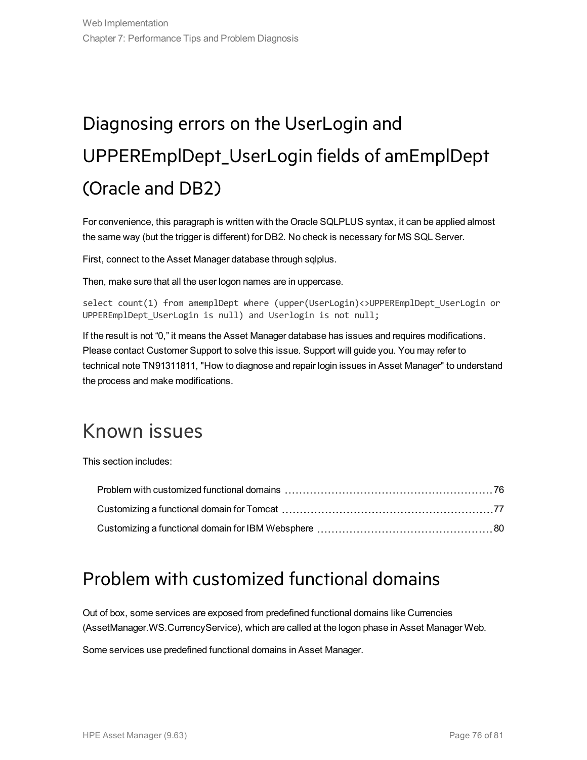# Diagnosing errors on the UserLogin and UPPEREmplDept\_UserLogin fields of amEmplDept (Oracle and DB2)

For convenience, this paragraph is written with the Oracle SQLPLUS syntax, it can be applied almost the same way (but the trigger is different) for DB2. No check is necessary for MS SQL Server.

First, connect to the Asset Manager database through sqlplus.

Then, make sure that all the user logon names are in uppercase.

select count(1) from amemplDept where (upper(UserLogin)<>UPPEREmplDept UserLogin or UPPEREmplDept\_UserLogin is null) and Userlogin is not null;

If the result is not "0," it means the Asset Manager database has issues and requires modifications. Please contact Customer Support to solve this issue. Support will guide you. You may refer to technical note TN91311811, "How to diagnose and repair login issues in Asset Manager" to understand the process and make modifications.

### Known issues

This section includes:

### <span id="page-75-0"></span>Problem with customized functional domains

Out of box, some services are exposed from predefined functional domains like Currencies (AssetManager.WS.CurrencyService), which are called at the logon phase in Asset Manager Web.

Some services use predefined functional domains in Asset Manager.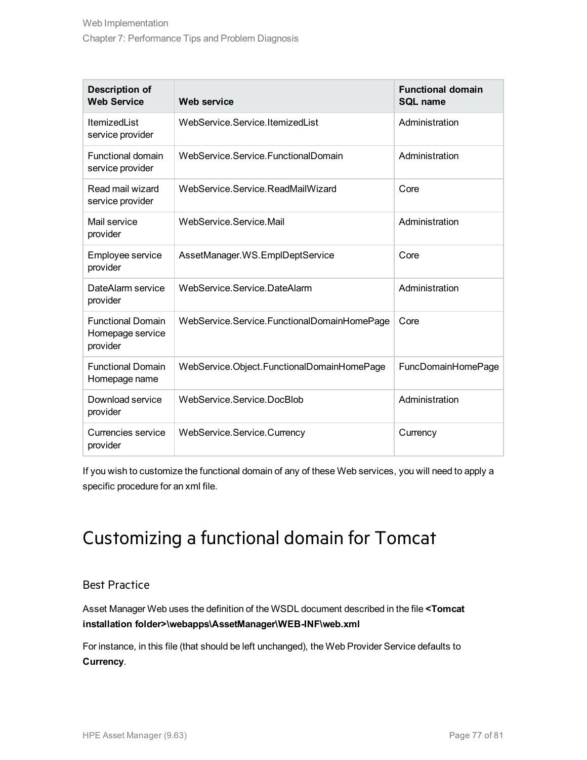| <b>Description of</b><br><b>Web Service</b>              | Web service                                 | <b>Functional domain</b><br><b>SQL name</b> |
|----------------------------------------------------------|---------------------------------------------|---------------------------------------------|
| <b>ItemizedList</b><br>service provider                  | WebService Service Itemized List            | Administration                              |
| Functional domain<br>service provider                    | WebService.Service.FunctionalDomain         | Administration                              |
| Read mail wizard<br>service provider                     | WebService Service ReadMailWizard           | Core                                        |
| Mail service<br>provider                                 | WebService.Service.Mail                     | Administration                              |
| Employee service<br>provider                             | AssetManager.WS.EmplDeptService             | Core                                        |
| DateAlarm service<br>provider                            | WebService.Service.DateAlarm                | Administration                              |
| <b>Functional Domain</b><br>Homepage service<br>provider | WebService.Service.FunctionalDomainHomePage | Core                                        |
| <b>Functional Domain</b><br>Homepage name                | WebService.Object.FunctionalDomainHomePage  | FuncDomainHomePage                          |
| Download service<br>provider                             | WebService Service DocBlob                  | Administration                              |
| Currencies service<br>provider                           | WebService.Service.Currency                 | Currency                                    |

<span id="page-76-0"></span>If you wish to customize the functional domain of any of these Web services, you will need to apply a specific procedure for an xml file.

## Customizing a functional domain for Tomcat

#### Best Practice

Asset Manager Web uses the definition of the WSDL document described in the file **<Tomcat installation folder>\webapps\AssetManager\WEB-INF\web.xml**

For instance, in this file (that should be left unchanged), the Web Provider Service defaults to **Currency**.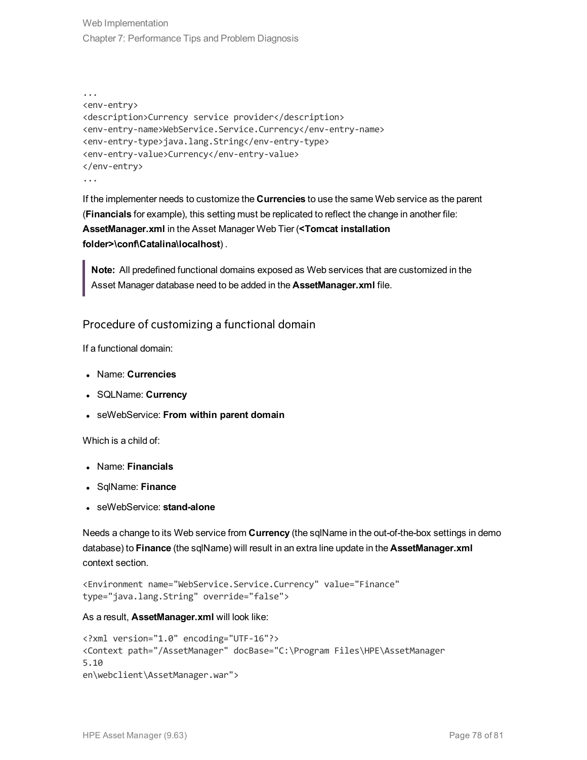Web Implementation Chapter 7: Performance Tips and Problem Diagnosis

```
...
<env-entry>
<description>Currency service provider</description>
<env-entry-name>WebService.Service.Currency</env-entry-name>
<env-entry-type>java.lang.String</env-entry-type>
<env-entry-value>Currency</env-entry-value>
</env-entry>
...
```
If the implementer needs to customize the **Currencies** to use the same Web service as the parent (**Financials** for example), this setting must be replicated to reflect the change in another file: **AssetManager.xml** in the Asset Manager Web Tier (**<Tomcat installation folder>\conf\Catalina\localhost**) .

**Note:** All predefined functional domains exposed as Web services that are customized in the Asset Manager database need to be added in the **AssetManager.xml** file.

#### Procedure of customizing a functional domain

If a functional domain:

- <sup>l</sup> Name: **Currencies**
- <sup>l</sup> SQLName: **Currency**
- <sup>l</sup> seWebService: **From within parent domain**

Which is a child of:

- <sup>l</sup> Name: **Financials**
- <sup>l</sup> SqlName: **Finance**
- <sup>l</sup> seWebService: **stand-alone**

Needs a change to its Web service from **Currency** (the sqlName in the out-of-the-box settings in demo database) to **Finance** (the sqlName) will result in an extra line update in the **AssetManager.xml** context section.

<Environment name="WebService.Service.Currency" value="Finance" type="java.lang.String" override="false">

#### As a result, **AssetManager.xml** will look like:

```
<?xml version="1.0" encoding="UTF-16"?>
<Context path="/AssetManager" docBase="C:\Program Files\HPE\AssetManager
5.10
en\webclient\AssetManager.war">
```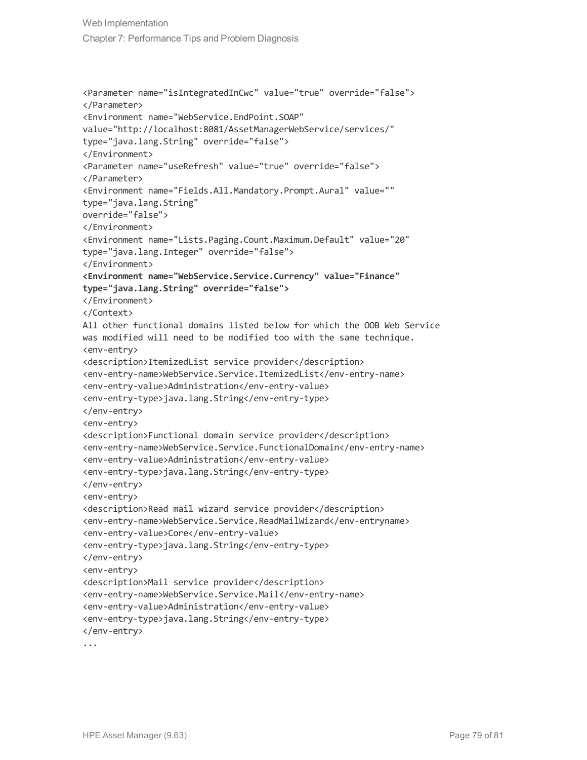```
<Parameter name="isIntegratedInCwc" value="true" override="false">
</Parameter>
<Environment name="WebService.EndPoint.SOAP"
value="http://localhost:8081/AssetManagerWebService/services/"
type="java.lang.String" override="false">
</Environment>
<Parameter name="useRefresh" value="true" override="false">
</Parameter>
<Environment name="Fields.All.Mandatory.Prompt.Aural" value=""
type="java.lang.String"
override="false">
</Environment>
<Environment name="Lists.Paging.Count.Maximum.Default" value="20"
type="java.lang.Integer" override="false">
</Environment>
<Environment name="WebService.Service.Currency" value="Finance"
type="java.lang.String" override="false">
</Environment>
</Context>
All other functional domains listed below for which the OOB Web Service
was modified will need to be modified too with the same technique.
<env-entry>
<description>ItemizedList service provider</description>
<env-entry-name>WebService.Service.ItemizedList</env-entry-name>
<env-entry-value>Administration</env-entry-value>
<env-entry-type>java.lang.String</env-entry-type>
</env-entry>
<env-entry>
<description>Functional domain service provider</description>
<env-entry-name>WebService.Service.FunctionalDomain</env-entry-name>
<env-entry-value>Administration</env-entry-value>
<env-entry-type>java.lang.String</env-entry-type>
</env-entry>
<env-entry>
<description>Read mail wizard service provider</description>
<env-entry-name>WebService.Service.ReadMailWizard</env-entryname>
<env-entry-value>Core</env-entry-value>
<env-entry-type>java.lang.String</env-entry-type>
</env-entry>
<env-entry>
<description>Mail service provider</description>
<env-entry-name>WebService.Service.Mail</env-entry-name>
<env-entry-value>Administration</env-entry-value>
<env-entry-type>java.lang.String</env-entry-type>
</env-entry>
...
```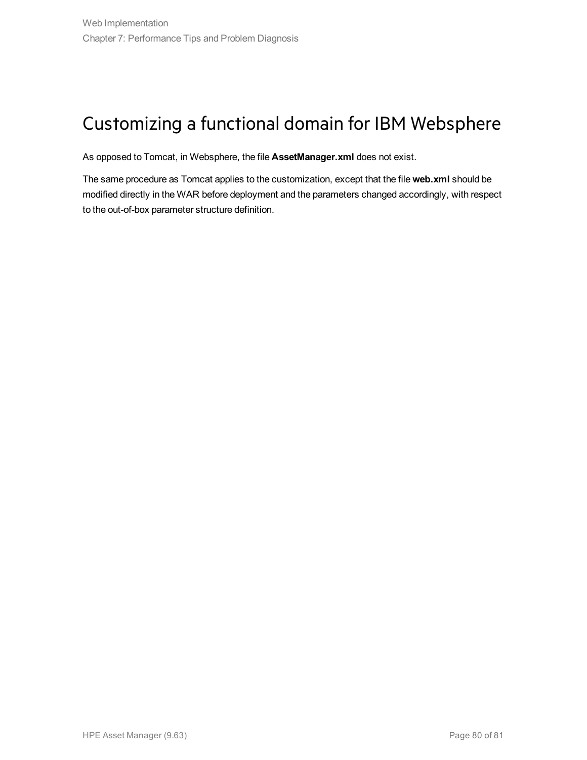## <span id="page-79-0"></span>Customizing a functional domain for IBM Websphere

As opposed to Tomcat, in Websphere, the file **AssetManager.xml** does not exist.

The same procedure as Tomcat applies to the customization, except that the file **web.xml** should be modified directly in the WAR before deployment and the parameters changed accordingly, with respect to the out-of-box parameter structure definition.